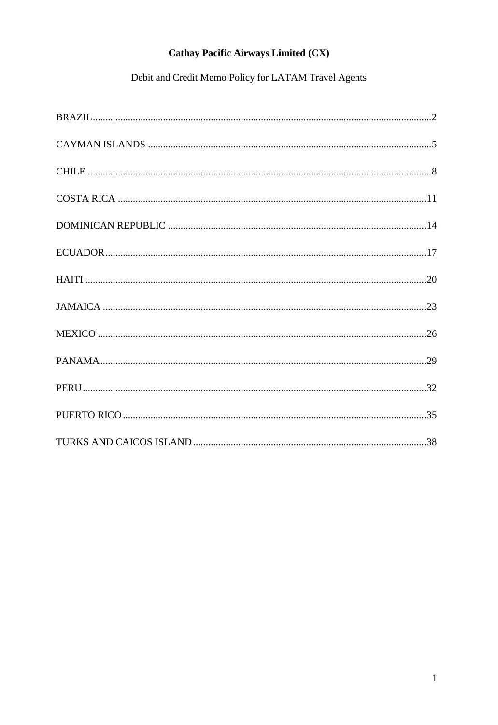# Debit and Credit Memo Policy for LATAM Travel Agents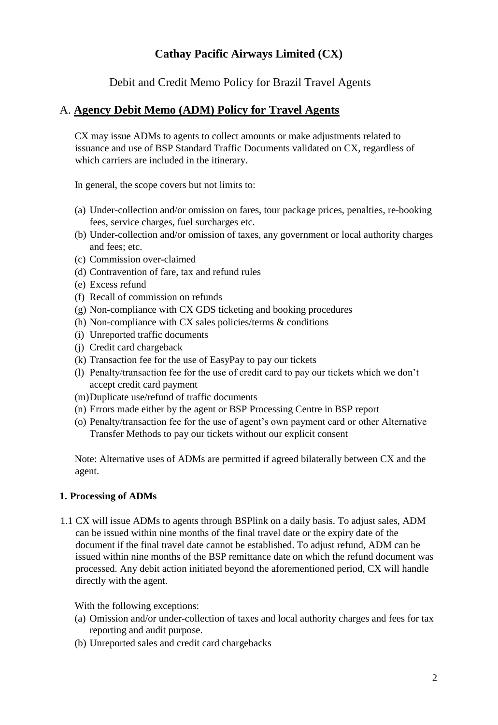Debit and Credit Memo Policy for Brazil Travel Agents

### <span id="page-1-0"></span>A. **Agency Debit Memo (ADM) Policy for Travel Agents**

CX may issue ADMs to agents to collect amounts or make adjustments related to issuance and use of BSP Standard Traffic Documents validated on CX, regardless of which carriers are included in the itinerary.

In general, the scope covers but not limits to:

- (a) Under-collection and/or omission on fares, tour package prices, penalties, re-booking fees, service charges, fuel surcharges etc.
- (b) Under-collection and/or omission of taxes, any government or local authority charges and fees; etc.
- (c) Commission over-claimed
- (d) Contravention of fare, tax and refund rules
- (e) Excess refund
- (f) Recall of commission on refunds
- (g) Non-compliance with CX GDS ticketing and booking procedures
- (h) Non-compliance with CX sales policies/terms  $\&$  conditions
- (i) Unreported traffic documents
- (j) Credit card chargeback
- (k) Transaction fee for the use of EasyPay to pay our tickets
- (l) Penalty/transaction fee for the use of credit card to pay our tickets which we don't accept credit card payment
- (m)Duplicate use/refund of traffic documents
- (n) Errors made either by the agent or BSP Processing Centre in BSP report
- (o) Penalty/transaction fee for the use of agent's own payment card or other Alternative Transfer Methods to pay our tickets without our explicit consent

Note: Alternative uses of ADMs are permitted if agreed bilaterally between CX and the agent.

### **1. Processing of ADMs**

1.1 CX will issue ADMs to agents through BSPlink on a daily basis. To adjust sales, ADM can be issued within nine months of the final travel date or the expiry date of the document if the final travel date cannot be established. To adjust refund, ADM can be issued within nine months of the BSP remittance date on which the refund document was processed. Any debit action initiated beyond the aforementioned period, CX will handle directly with the agent.

- (a) Omission and/or under-collection of taxes and local authority charges and fees for tax reporting and audit purpose.
- (b) Unreported sales and credit card chargebacks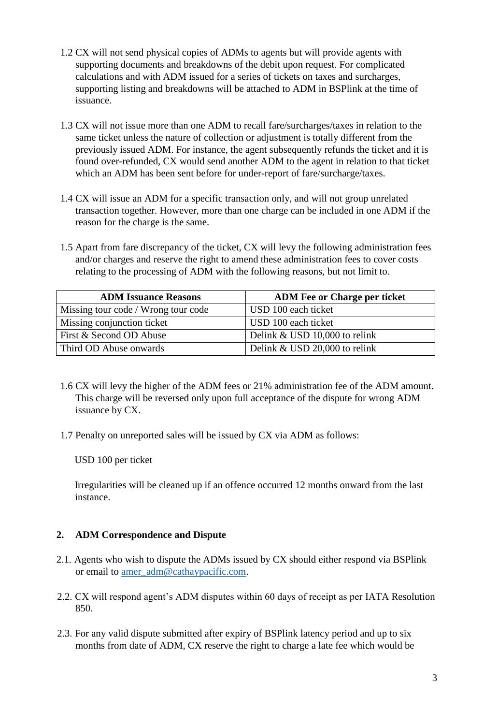- 1.2 CX will not send physical copies of ADMs to agents but will provide agents with supporting documents and breakdowns of the debit upon request. For complicated calculations and with ADM issued for a series of tickets on taxes and surcharges, supporting listing and breakdowns will be attached to ADM in BSPlink at the time of issuance.
- 1.3 CX will not issue more than one ADM to recall fare/surcharges/taxes in relation to the same ticket unless the nature of collection or adjustment is totally different from the previously issued ADM. For instance, the agent subsequently refunds the ticket and it is found over-refunded, CX would send another ADM to the agent in relation to that ticket which an ADM has been sent before for under-report of fare/surcharge/taxes.
- 1.4 CX will issue an ADM for a specific transaction only, and will not group unrelated transaction together. However, more than one charge can be included in one ADM if the reason for the charge is the same.
- 1.5 Apart from fare discrepancy of the ticket, CX will levy the following administration fees and/or charges and reserve the right to amend these administration fees to cover costs relating to the processing of ADM with the following reasons, but not limit to.

| <b>ADM Issuance Reasons</b>         | <b>ADM Fee or Charge per ticket</b> |
|-------------------------------------|-------------------------------------|
| Missing tour code / Wrong tour code | USD 100 each ticket                 |
| Missing conjunction ticket          | USD 100 each ticket                 |
| First & Second OD Abuse             | Delink & USD 10,000 to relink       |
| Third OD Abuse onwards              | Delink & USD 20,000 to relink       |

- 1.6 CX will levy the higher of the ADM fees or 21% administration fee of the ADM amount. This charge will be reversed only upon full acceptance of the dispute for wrong ADM issuance by CX.
- 1.7 Penalty on unreported sales will be issued by CX via ADM as follows:

Irregularities will be cleaned up if an offence occurred 12 months onward from the last instance.

- 2.1. Agents who wish to dispute the ADMs issued by CX should either respond via BSPlink or email to amer\_adm@cathaypacific.com.
- 2.2. CX will respond agent's ADM disputes within 60 days of receipt as per IATA Resolution 850.
- 2.3. For any valid dispute submitted after expiry of BSPlink latency period and up to six months from date of ADM, CX reserve the right to charge a late fee which would be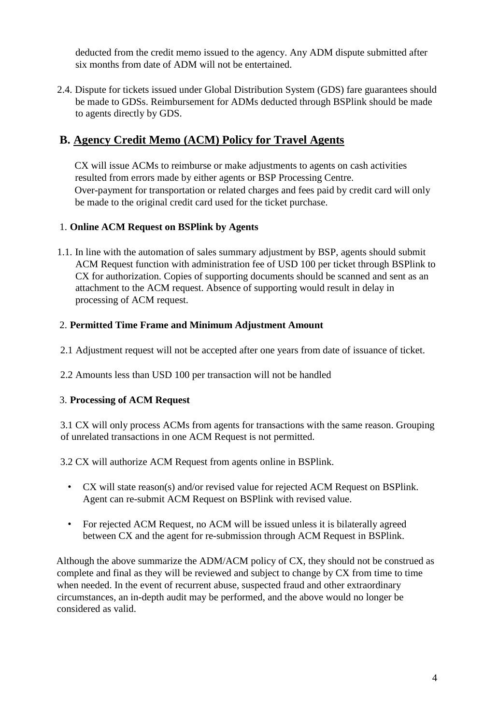2.4. Dispute for tickets issued under Global Distribution System (GDS) fare guarantees should be made to GDSs. Reimbursement for ADMs deducted through BSPlink should be made to agents directly by GDS.

# **B. Agency Credit Memo (ACM) Policy for Travel Agents**

CX will issue ACMs to reimburse or make adjustments to agents on cash activities resulted from errors made by either agents or BSP Processing Centre. Over-payment for transportation or related charges and fees paid by credit card will only be made to the original credit card used for the ticket purchase.

### 1. **Online ACM Request on BSPlink by Agents**

1.1. In line with the automation of sales summary adjustment by BSP, agents should submit ACM Request function with administration fee of USD 100 per ticket through BSPlink to CX for authorization. Copies of supporting documents should be scanned and sent as an attachment to the ACM request. Absence of supporting would result in delay in processing of ACM request.

### 2. **Permitted Time Frame and Minimum Adjustment Amount**

- 2.1 Adjustment request will not be accepted after one years from date of issuance of ticket.
- 2.2 Amounts less than USD 100 per transaction will not be handled

### 3. **Processing of ACM Request**

3.1 CX will only process ACMs from agents for transactions with the same reason. Grouping of unrelated transactions in one ACM Request is not permitted.

3.2 CX will authorize ACM Request from agents online in BSPlink.

- CX will state reason(s) and/or revised value for rejected ACM Request on BSPlink. Agent can re-submit ACM Request on BSPlink with revised value.
- For rejected ACM Request, no ACM will be issued unless it is bilaterally agreed between CX and the agent for re-submission through ACM Request in BSPlink.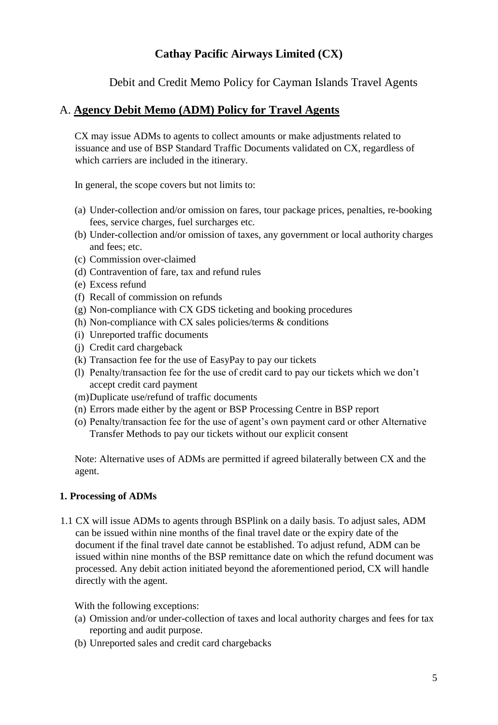Debit and Credit Memo Policy for Cayman Islands Travel Agents

### <span id="page-4-0"></span>A. **Agency Debit Memo (ADM) Policy for Travel Agents**

CX may issue ADMs to agents to collect amounts or make adjustments related to issuance and use of BSP Standard Traffic Documents validated on CX, regardless of which carriers are included in the itinerary.

In general, the scope covers but not limits to:

- (a) Under-collection and/or omission on fares, tour package prices, penalties, re-booking fees, service charges, fuel surcharges etc.
- (b) Under-collection and/or omission of taxes, any government or local authority charges and fees; etc.
- (c) Commission over-claimed
- (d) Contravention of fare, tax and refund rules
- (e) Excess refund
- (f) Recall of commission on refunds
- (g) Non-compliance with CX GDS ticketing and booking procedures
- (h) Non-compliance with CX sales policies/terms  $\&$  conditions
- (i) Unreported traffic documents
- (j) Credit card chargeback
- (k) Transaction fee for the use of EasyPay to pay our tickets
- (l) Penalty/transaction fee for the use of credit card to pay our tickets which we don't accept credit card payment
- (m)Duplicate use/refund of traffic documents
- (n) Errors made either by the agent or BSP Processing Centre in BSP report
- (o) Penalty/transaction fee for the use of agent's own payment card or other Alternative Transfer Methods to pay our tickets without our explicit consent

Note: Alternative uses of ADMs are permitted if agreed bilaterally between CX and the agent.

### **1. Processing of ADMs**

1.1 CX will issue ADMs to agents through BSPlink on a daily basis. To adjust sales, ADM can be issued within nine months of the final travel date or the expiry date of the document if the final travel date cannot be established. To adjust refund, ADM can be issued within nine months of the BSP remittance date on which the refund document was processed. Any debit action initiated beyond the aforementioned period, CX will handle directly with the agent.

- (a) Omission and/or under-collection of taxes and local authority charges and fees for tax reporting and audit purpose.
- (b) Unreported sales and credit card chargebacks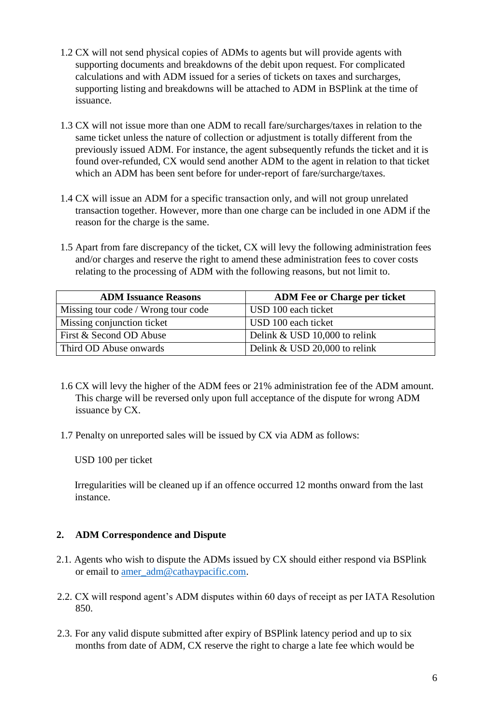- 1.2 CX will not send physical copies of ADMs to agents but will provide agents with supporting documents and breakdowns of the debit upon request. For complicated calculations and with ADM issued for a series of tickets on taxes and surcharges, supporting listing and breakdowns will be attached to ADM in BSPlink at the time of issuance.
- 1.3 CX will not issue more than one ADM to recall fare/surcharges/taxes in relation to the same ticket unless the nature of collection or adjustment is totally different from the previously issued ADM. For instance, the agent subsequently refunds the ticket and it is found over-refunded, CX would send another ADM to the agent in relation to that ticket which an ADM has been sent before for under-report of fare/surcharge/taxes.
- 1.4 CX will issue an ADM for a specific transaction only, and will not group unrelated transaction together. However, more than one charge can be included in one ADM if the reason for the charge is the same.
- 1.5 Apart from fare discrepancy of the ticket, CX will levy the following administration fees and/or charges and reserve the right to amend these administration fees to cover costs relating to the processing of ADM with the following reasons, but not limit to.

| <b>ADM Issuance Reasons</b>         | <b>ADM Fee or Charge per ticket</b> |
|-------------------------------------|-------------------------------------|
| Missing tour code / Wrong tour code | USD 100 each ticket                 |
| Missing conjunction ticket          | USD 100 each ticket                 |
| First & Second OD Abuse             | Delink & USD 10,000 to relink       |
| Third OD Abuse onwards              | Delink & USD 20,000 to relink       |

- 1.6 CX will levy the higher of the ADM fees or 21% administration fee of the ADM amount. This charge will be reversed only upon full acceptance of the dispute for wrong ADM issuance by CX.
- 1.7 Penalty on unreported sales will be issued by CX via ADM as follows:

Irregularities will be cleaned up if an offence occurred 12 months onward from the last instance.

- 2.1. Agents who wish to dispute the ADMs issued by CX should either respond via BSPlink or email to amer\_adm@cathaypacific.com.
- 2.2. CX will respond agent's ADM disputes within 60 days of receipt as per IATA Resolution 850.
- 2.3. For any valid dispute submitted after expiry of BSPlink latency period and up to six months from date of ADM, CX reserve the right to charge a late fee which would be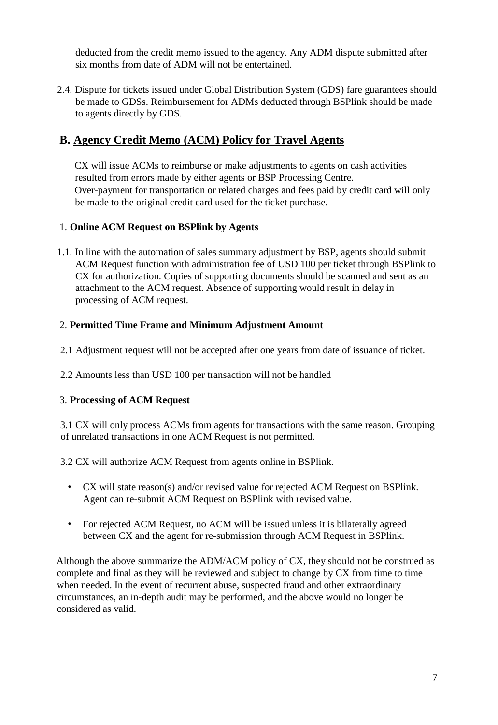2.4. Dispute for tickets issued under Global Distribution System (GDS) fare guarantees should be made to GDSs. Reimbursement for ADMs deducted through BSPlink should be made to agents directly by GDS.

# **B. Agency Credit Memo (ACM) Policy for Travel Agents**

CX will issue ACMs to reimburse or make adjustments to agents on cash activities resulted from errors made by either agents or BSP Processing Centre. Over-payment for transportation or related charges and fees paid by credit card will only be made to the original credit card used for the ticket purchase.

### 1. **Online ACM Request on BSPlink by Agents**

1.1. In line with the automation of sales summary adjustment by BSP, agents should submit ACM Request function with administration fee of USD 100 per ticket through BSPlink to CX for authorization. Copies of supporting documents should be scanned and sent as an attachment to the ACM request. Absence of supporting would result in delay in processing of ACM request.

### 2. **Permitted Time Frame and Minimum Adjustment Amount**

- 2.1 Adjustment request will not be accepted after one years from date of issuance of ticket.
- 2.2 Amounts less than USD 100 per transaction will not be handled

### 3. **Processing of ACM Request**

3.1 CX will only process ACMs from agents for transactions with the same reason. Grouping of unrelated transactions in one ACM Request is not permitted.

3.2 CX will authorize ACM Request from agents online in BSPlink.

- CX will state reason(s) and/or revised value for rejected ACM Request on BSPlink. Agent can re-submit ACM Request on BSPlink with revised value.
- For rejected ACM Request, no ACM will be issued unless it is bilaterally agreed between CX and the agent for re-submission through ACM Request in BSPlink.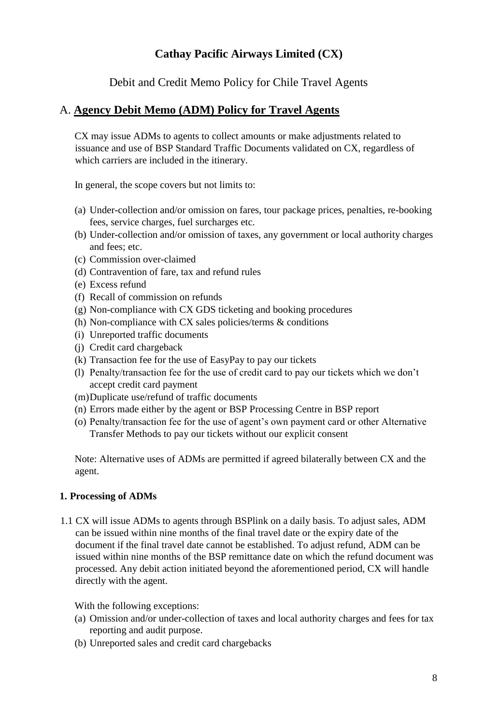Debit and Credit Memo Policy for Chile Travel Agents

### <span id="page-7-0"></span>A. **Agency Debit Memo (ADM) Policy for Travel Agents**

CX may issue ADMs to agents to collect amounts or make adjustments related to issuance and use of BSP Standard Traffic Documents validated on CX, regardless of which carriers are included in the itinerary.

In general, the scope covers but not limits to:

- (a) Under-collection and/or omission on fares, tour package prices, penalties, re-booking fees, service charges, fuel surcharges etc.
- (b) Under-collection and/or omission of taxes, any government or local authority charges and fees; etc.
- (c) Commission over-claimed
- (d) Contravention of fare, tax and refund rules
- (e) Excess refund
- (f) Recall of commission on refunds
- (g) Non-compliance with CX GDS ticketing and booking procedures
- (h) Non-compliance with CX sales policies/terms  $\&$  conditions
- (i) Unreported traffic documents
- (j) Credit card chargeback
- (k) Transaction fee for the use of EasyPay to pay our tickets
- (l) Penalty/transaction fee for the use of credit card to pay our tickets which we don't accept credit card payment
- (m)Duplicate use/refund of traffic documents
- (n) Errors made either by the agent or BSP Processing Centre in BSP report
- (o) Penalty/transaction fee for the use of agent's own payment card or other Alternative Transfer Methods to pay our tickets without our explicit consent

Note: Alternative uses of ADMs are permitted if agreed bilaterally between CX and the agent.

### **1. Processing of ADMs**

1.1 CX will issue ADMs to agents through BSPlink on a daily basis. To adjust sales, ADM can be issued within nine months of the final travel date or the expiry date of the document if the final travel date cannot be established. To adjust refund, ADM can be issued within nine months of the BSP remittance date on which the refund document was processed. Any debit action initiated beyond the aforementioned period, CX will handle directly with the agent.

- (a) Omission and/or under-collection of taxes and local authority charges and fees for tax reporting and audit purpose.
- (b) Unreported sales and credit card chargebacks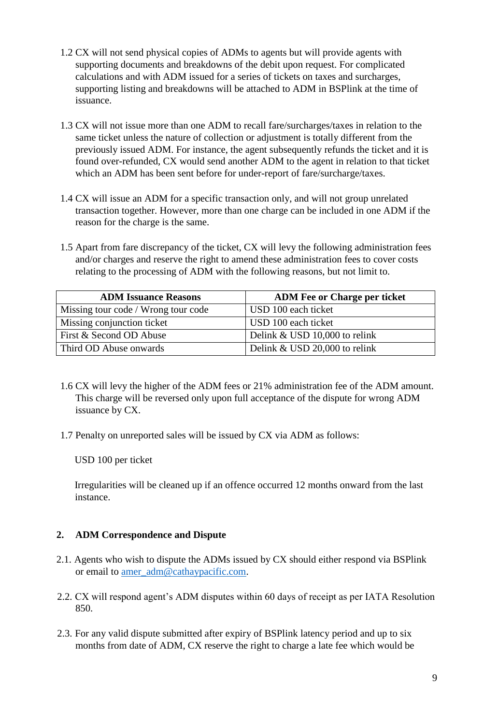- 1.2 CX will not send physical copies of ADMs to agents but will provide agents with supporting documents and breakdowns of the debit upon request. For complicated calculations and with ADM issued for a series of tickets on taxes and surcharges, supporting listing and breakdowns will be attached to ADM in BSPlink at the time of issuance.
- 1.3 CX will not issue more than one ADM to recall fare/surcharges/taxes in relation to the same ticket unless the nature of collection or adjustment is totally different from the previously issued ADM. For instance, the agent subsequently refunds the ticket and it is found over-refunded, CX would send another ADM to the agent in relation to that ticket which an ADM has been sent before for under-report of fare/surcharge/taxes.
- 1.4 CX will issue an ADM for a specific transaction only, and will not group unrelated transaction together. However, more than one charge can be included in one ADM if the reason for the charge is the same.
- 1.5 Apart from fare discrepancy of the ticket, CX will levy the following administration fees and/or charges and reserve the right to amend these administration fees to cover costs relating to the processing of ADM with the following reasons, but not limit to.

| <b>ADM Issuance Reasons</b>         | <b>ADM Fee or Charge per ticket</b> |
|-------------------------------------|-------------------------------------|
| Missing tour code / Wrong tour code | USD 100 each ticket                 |
| Missing conjunction ticket          | USD 100 each ticket                 |
| First & Second OD Abuse             | Delink & USD 10,000 to relink       |
| Third OD Abuse onwards              | Delink & USD 20,000 to relink       |

- 1.6 CX will levy the higher of the ADM fees or 21% administration fee of the ADM amount. This charge will be reversed only upon full acceptance of the dispute for wrong ADM issuance by CX.
- 1.7 Penalty on unreported sales will be issued by CX via ADM as follows:

Irregularities will be cleaned up if an offence occurred 12 months onward from the last instance.

- 2.1. Agents who wish to dispute the ADMs issued by CX should either respond via BSPlink or email to amer\_adm@cathaypacific.com.
- 2.2. CX will respond agent's ADM disputes within 60 days of receipt as per IATA Resolution 850.
- 2.3. For any valid dispute submitted after expiry of BSPlink latency period and up to six months from date of ADM, CX reserve the right to charge a late fee which would be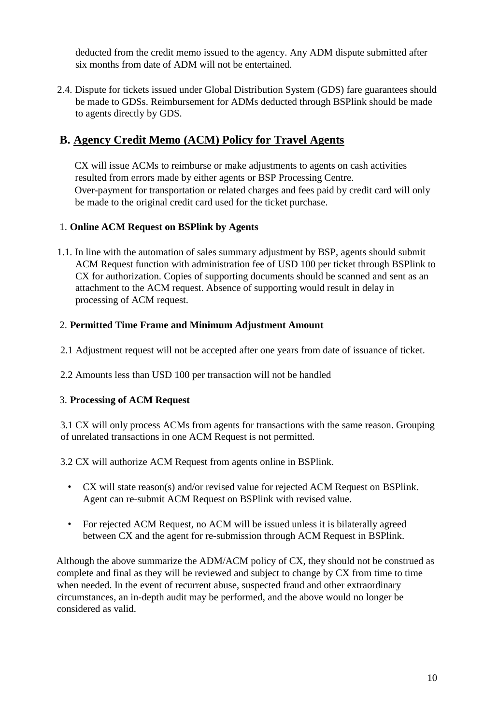2.4. Dispute for tickets issued under Global Distribution System (GDS) fare guarantees should be made to GDSs. Reimbursement for ADMs deducted through BSPlink should be made to agents directly by GDS.

# **B. Agency Credit Memo (ACM) Policy for Travel Agents**

CX will issue ACMs to reimburse or make adjustments to agents on cash activities resulted from errors made by either agents or BSP Processing Centre. Over-payment for transportation or related charges and fees paid by credit card will only be made to the original credit card used for the ticket purchase.

### 1. **Online ACM Request on BSPlink by Agents**

1.1. In line with the automation of sales summary adjustment by BSP, agents should submit ACM Request function with administration fee of USD 100 per ticket through BSPlink to CX for authorization. Copies of supporting documents should be scanned and sent as an attachment to the ACM request. Absence of supporting would result in delay in processing of ACM request.

### 2. **Permitted Time Frame and Minimum Adjustment Amount**

- 2.1 Adjustment request will not be accepted after one years from date of issuance of ticket.
- 2.2 Amounts less than USD 100 per transaction will not be handled

### 3. **Processing of ACM Request**

3.1 CX will only process ACMs from agents for transactions with the same reason. Grouping of unrelated transactions in one ACM Request is not permitted.

3.2 CX will authorize ACM Request from agents online in BSPlink.

- CX will state reason(s) and/or revised value for rejected ACM Request on BSPlink. Agent can re-submit ACM Request on BSPlink with revised value.
- For rejected ACM Request, no ACM will be issued unless it is bilaterally agreed between CX and the agent for re-submission through ACM Request in BSPlink.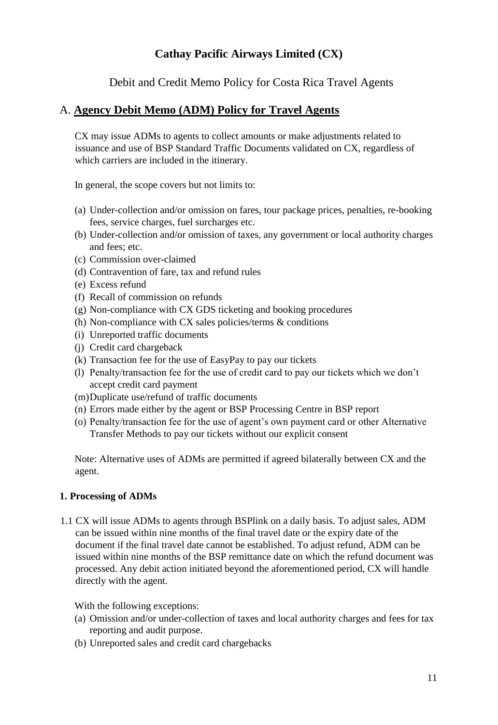Debit and Credit Memo Policy for Costa Rica Travel Agents

### <span id="page-10-0"></span>A. **Agency Debit Memo (ADM) Policy for Travel Agents**

CX may issue ADMs to agents to collect amounts or make adjustments related to issuance and use of BSP Standard Traffic Documents validated on CX, regardless of which carriers are included in the itinerary.

In general, the scope covers but not limits to:

- (a) Under-collection and/or omission on fares, tour package prices, penalties, re-booking fees, service charges, fuel surcharges etc.
- (b) Under-collection and/or omission of taxes, any government or local authority charges and fees; etc.
- (c) Commission over-claimed
- (d) Contravention of fare, tax and refund rules
- (e) Excess refund
- (f) Recall of commission on refunds
- (g) Non-compliance with CX GDS ticketing and booking procedures
- (h) Non-compliance with CX sales policies/terms  $\&$  conditions
- (i) Unreported traffic documents
- (j) Credit card chargeback
- (k) Transaction fee for the use of EasyPay to pay our tickets
- (l) Penalty/transaction fee for the use of credit card to pay our tickets which we don't accept credit card payment
- (m)Duplicate use/refund of traffic documents
- (n) Errors made either by the agent or BSP Processing Centre in BSP report
- (o) Penalty/transaction fee for the use of agent's own payment card or other Alternative Transfer Methods to pay our tickets without our explicit consent

Note: Alternative uses of ADMs are permitted if agreed bilaterally between CX and the agent.

#### **1. Processing of ADMs**

1.1 CX will issue ADMs to agents through BSPlink on a daily basis. To adjust sales, ADM can be issued within nine months of the final travel date or the expiry date of the document if the final travel date cannot be established. To adjust refund, ADM can be issued within nine months of the BSP remittance date on which the refund document was processed. Any debit action initiated beyond the aforementioned period, CX will handle directly with the agent.

- (a) Omission and/or under-collection of taxes and local authority charges and fees for tax reporting and audit purpose.
- (b) Unreported sales and credit card chargebacks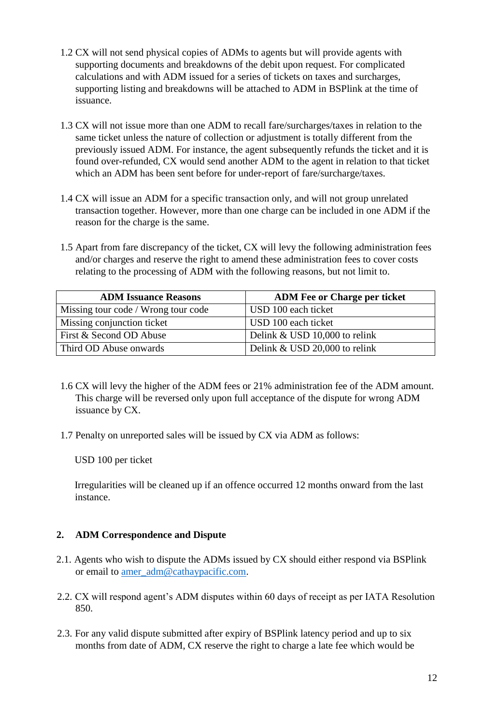- 1.2 CX will not send physical copies of ADMs to agents but will provide agents with supporting documents and breakdowns of the debit upon request. For complicated calculations and with ADM issued for a series of tickets on taxes and surcharges, supporting listing and breakdowns will be attached to ADM in BSPlink at the time of issuance.
- 1.3 CX will not issue more than one ADM to recall fare/surcharges/taxes in relation to the same ticket unless the nature of collection or adjustment is totally different from the previously issued ADM. For instance, the agent subsequently refunds the ticket and it is found over-refunded, CX would send another ADM to the agent in relation to that ticket which an ADM has been sent before for under-report of fare/surcharge/taxes.
- 1.4 CX will issue an ADM for a specific transaction only, and will not group unrelated transaction together. However, more than one charge can be included in one ADM if the reason for the charge is the same.
- 1.5 Apart from fare discrepancy of the ticket, CX will levy the following administration fees and/or charges and reserve the right to amend these administration fees to cover costs relating to the processing of ADM with the following reasons, but not limit to.

| <b>ADM Issuance Reasons</b>         | <b>ADM Fee or Charge per ticket</b> |
|-------------------------------------|-------------------------------------|
| Missing tour code / Wrong tour code | USD 100 each ticket                 |
| Missing conjunction ticket          | USD 100 each ticket                 |
| First & Second OD Abuse             | Delink & USD 10,000 to relink       |
| Third OD Abuse onwards              | Delink & USD 20,000 to relink       |

- 1.6 CX will levy the higher of the ADM fees or 21% administration fee of the ADM amount. This charge will be reversed only upon full acceptance of the dispute for wrong ADM issuance by CX.
- 1.7 Penalty on unreported sales will be issued by CX via ADM as follows:

Irregularities will be cleaned up if an offence occurred 12 months onward from the last instance.

- 2.1. Agents who wish to dispute the ADMs issued by CX should either respond via BSPlink or email to amer\_adm@cathaypacific.com.
- 2.2. CX will respond agent's ADM disputes within 60 days of receipt as per IATA Resolution 850.
- 2.3. For any valid dispute submitted after expiry of BSPlink latency period and up to six months from date of ADM, CX reserve the right to charge a late fee which would be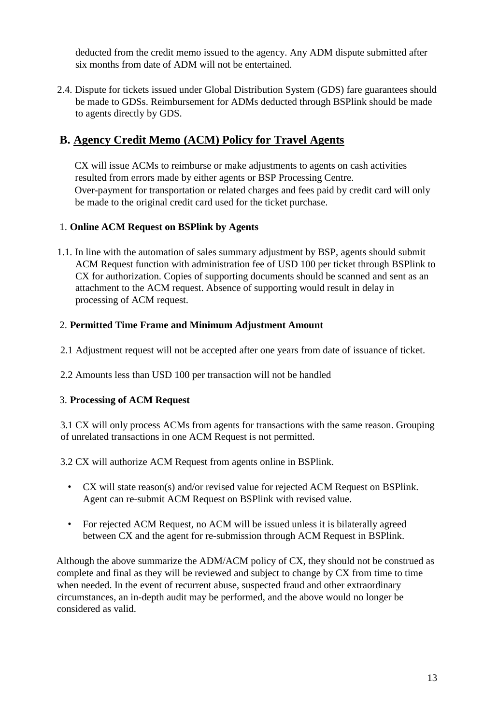2.4. Dispute for tickets issued under Global Distribution System (GDS) fare guarantees should be made to GDSs. Reimbursement for ADMs deducted through BSPlink should be made to agents directly by GDS.

# **B. Agency Credit Memo (ACM) Policy for Travel Agents**

CX will issue ACMs to reimburse or make adjustments to agents on cash activities resulted from errors made by either agents or BSP Processing Centre. Over-payment for transportation or related charges and fees paid by credit card will only be made to the original credit card used for the ticket purchase.

### 1. **Online ACM Request on BSPlink by Agents**

1.1. In line with the automation of sales summary adjustment by BSP, agents should submit ACM Request function with administration fee of USD 100 per ticket through BSPlink to CX for authorization. Copies of supporting documents should be scanned and sent as an attachment to the ACM request. Absence of supporting would result in delay in processing of ACM request.

### 2. **Permitted Time Frame and Minimum Adjustment Amount**

- 2.1 Adjustment request will not be accepted after one years from date of issuance of ticket.
- 2.2 Amounts less than USD 100 per transaction will not be handled

### 3. **Processing of ACM Request**

3.1 CX will only process ACMs from agents for transactions with the same reason. Grouping of unrelated transactions in one ACM Request is not permitted.

3.2 CX will authorize ACM Request from agents online in BSPlink.

- CX will state reason(s) and/or revised value for rejected ACM Request on BSPlink. Agent can re-submit ACM Request on BSPlink with revised value.
- For rejected ACM Request, no ACM will be issued unless it is bilaterally agreed between CX and the agent for re-submission through ACM Request in BSPlink.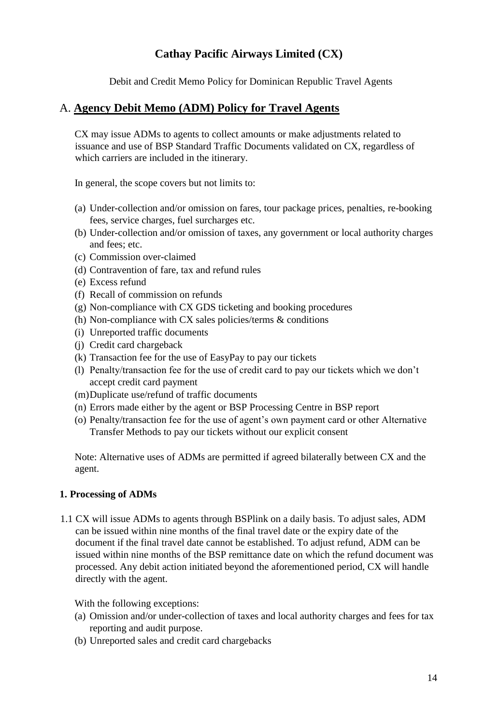Debit and Credit Memo Policy for Dominican Republic Travel Agents

### <span id="page-13-0"></span>A. **Agency Debit Memo (ADM) Policy for Travel Agents**

CX may issue ADMs to agents to collect amounts or make adjustments related to issuance and use of BSP Standard Traffic Documents validated on CX, regardless of which carriers are included in the itinerary.

In general, the scope covers but not limits to:

- (a) Under-collection and/or omission on fares, tour package prices, penalties, re-booking fees, service charges, fuel surcharges etc.
- (b) Under-collection and/or omission of taxes, any government or local authority charges and fees; etc.
- (c) Commission over-claimed
- (d) Contravention of fare, tax and refund rules
- (e) Excess refund
- (f) Recall of commission on refunds
- (g) Non-compliance with CX GDS ticketing and booking procedures
- (h) Non-compliance with CX sales policies/terms  $\&$  conditions
- (i) Unreported traffic documents
- (j) Credit card chargeback
- (k) Transaction fee for the use of EasyPay to pay our tickets
- (l) Penalty/transaction fee for the use of credit card to pay our tickets which we don't accept credit card payment
- (m)Duplicate use/refund of traffic documents
- (n) Errors made either by the agent or BSP Processing Centre in BSP report
- (o) Penalty/transaction fee for the use of agent's own payment card or other Alternative Transfer Methods to pay our tickets without our explicit consent

Note: Alternative uses of ADMs are permitted if agreed bilaterally between CX and the agent.

### **1. Processing of ADMs**

1.1 CX will issue ADMs to agents through BSPlink on a daily basis. To adjust sales, ADM can be issued within nine months of the final travel date or the expiry date of the document if the final travel date cannot be established. To adjust refund, ADM can be issued within nine months of the BSP remittance date on which the refund document was processed. Any debit action initiated beyond the aforementioned period, CX will handle directly with the agent.

- (a) Omission and/or under-collection of taxes and local authority charges and fees for tax reporting and audit purpose.
- (b) Unreported sales and credit card chargebacks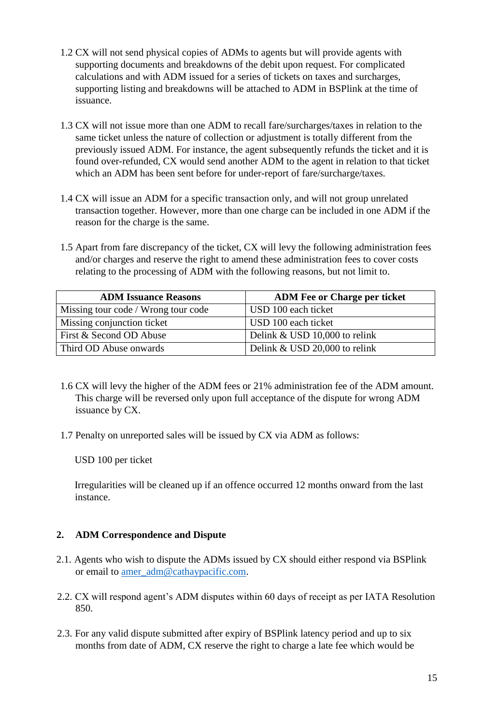- 1.2 CX will not send physical copies of ADMs to agents but will provide agents with supporting documents and breakdowns of the debit upon request. For complicated calculations and with ADM issued for a series of tickets on taxes and surcharges, supporting listing and breakdowns will be attached to ADM in BSPlink at the time of issuance.
- 1.3 CX will not issue more than one ADM to recall fare/surcharges/taxes in relation to the same ticket unless the nature of collection or adjustment is totally different from the previously issued ADM. For instance, the agent subsequently refunds the ticket and it is found over-refunded, CX would send another ADM to the agent in relation to that ticket which an ADM has been sent before for under-report of fare/surcharge/taxes.
- 1.4 CX will issue an ADM for a specific transaction only, and will not group unrelated transaction together. However, more than one charge can be included in one ADM if the reason for the charge is the same.
- 1.5 Apart from fare discrepancy of the ticket, CX will levy the following administration fees and/or charges and reserve the right to amend these administration fees to cover costs relating to the processing of ADM with the following reasons, but not limit to.

| <b>ADM Issuance Reasons</b>         | <b>ADM Fee or Charge per ticket</b> |
|-------------------------------------|-------------------------------------|
| Missing tour code / Wrong tour code | USD 100 each ticket                 |
| Missing conjunction ticket          | USD 100 each ticket                 |
| First & Second OD Abuse             | Delink & USD 10,000 to relink       |
| Third OD Abuse onwards              | Delink & USD 20,000 to relink       |

- 1.6 CX will levy the higher of the ADM fees or 21% administration fee of the ADM amount. This charge will be reversed only upon full acceptance of the dispute for wrong ADM issuance by CX.
- 1.7 Penalty on unreported sales will be issued by CX via ADM as follows:

Irregularities will be cleaned up if an offence occurred 12 months onward from the last instance.

- 2.1. Agents who wish to dispute the ADMs issued by CX should either respond via BSPlink or email to amer\_adm@cathaypacific.com.
- 2.2. CX will respond agent's ADM disputes within 60 days of receipt as per IATA Resolution 850.
- 2.3. For any valid dispute submitted after expiry of BSPlink latency period and up to six months from date of ADM, CX reserve the right to charge a late fee which would be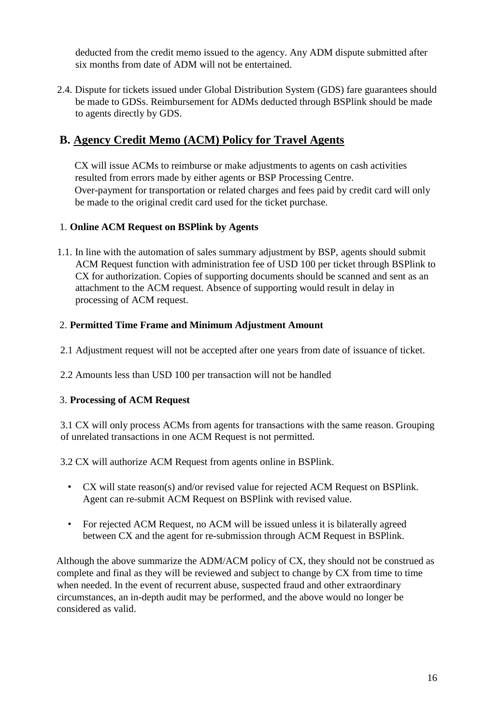2.4. Dispute for tickets issued under Global Distribution System (GDS) fare guarantees should be made to GDSs. Reimbursement for ADMs deducted through BSPlink should be made to agents directly by GDS.

# **B. Agency Credit Memo (ACM) Policy for Travel Agents**

CX will issue ACMs to reimburse or make adjustments to agents on cash activities resulted from errors made by either agents or BSP Processing Centre. Over-payment for transportation or related charges and fees paid by credit card will only be made to the original credit card used for the ticket purchase.

### 1. **Online ACM Request on BSPlink by Agents**

1.1. In line with the automation of sales summary adjustment by BSP, agents should submit ACM Request function with administration fee of USD 100 per ticket through BSPlink to CX for authorization. Copies of supporting documents should be scanned and sent as an attachment to the ACM request. Absence of supporting would result in delay in processing of ACM request.

### 2. **Permitted Time Frame and Minimum Adjustment Amount**

- 2.1 Adjustment request will not be accepted after one years from date of issuance of ticket.
- 2.2 Amounts less than USD 100 per transaction will not be handled

### 3. **Processing of ACM Request**

3.1 CX will only process ACMs from agents for transactions with the same reason. Grouping of unrelated transactions in one ACM Request is not permitted.

3.2 CX will authorize ACM Request from agents online in BSPlink.

- CX will state reason(s) and/or revised value for rejected ACM Request on BSPlink. Agent can re-submit ACM Request on BSPlink with revised value.
- For rejected ACM Request, no ACM will be issued unless it is bilaterally agreed between CX and the agent for re-submission through ACM Request in BSPlink.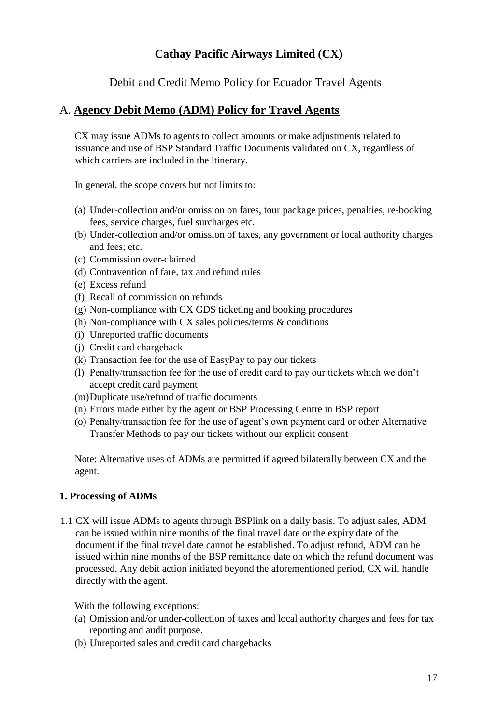Debit and Credit Memo Policy for Ecuador Travel Agents

### <span id="page-16-0"></span>A. **Agency Debit Memo (ADM) Policy for Travel Agents**

CX may issue ADMs to agents to collect amounts or make adjustments related to issuance and use of BSP Standard Traffic Documents validated on CX, regardless of which carriers are included in the itinerary.

In general, the scope covers but not limits to:

- (a) Under-collection and/or omission on fares, tour package prices, penalties, re-booking fees, service charges, fuel surcharges etc.
- (b) Under-collection and/or omission of taxes, any government or local authority charges and fees; etc.
- (c) Commission over-claimed
- (d) Contravention of fare, tax and refund rules
- (e) Excess refund
- (f) Recall of commission on refunds
- (g) Non-compliance with CX GDS ticketing and booking procedures
- (h) Non-compliance with CX sales policies/terms  $\&$  conditions
- (i) Unreported traffic documents
- (j) Credit card chargeback
- (k) Transaction fee for the use of EasyPay to pay our tickets
- (l) Penalty/transaction fee for the use of credit card to pay our tickets which we don't accept credit card payment
- (m)Duplicate use/refund of traffic documents
- (n) Errors made either by the agent or BSP Processing Centre in BSP report
- (o) Penalty/transaction fee for the use of agent's own payment card or other Alternative Transfer Methods to pay our tickets without our explicit consent

Note: Alternative uses of ADMs are permitted if agreed bilaterally between CX and the agent.

### **1. Processing of ADMs**

1.1 CX will issue ADMs to agents through BSPlink on a daily basis. To adjust sales, ADM can be issued within nine months of the final travel date or the expiry date of the document if the final travel date cannot be established. To adjust refund, ADM can be issued within nine months of the BSP remittance date on which the refund document was processed. Any debit action initiated beyond the aforementioned period, CX will handle directly with the agent.

- (a) Omission and/or under-collection of taxes and local authority charges and fees for tax reporting and audit purpose.
- (b) Unreported sales and credit card chargebacks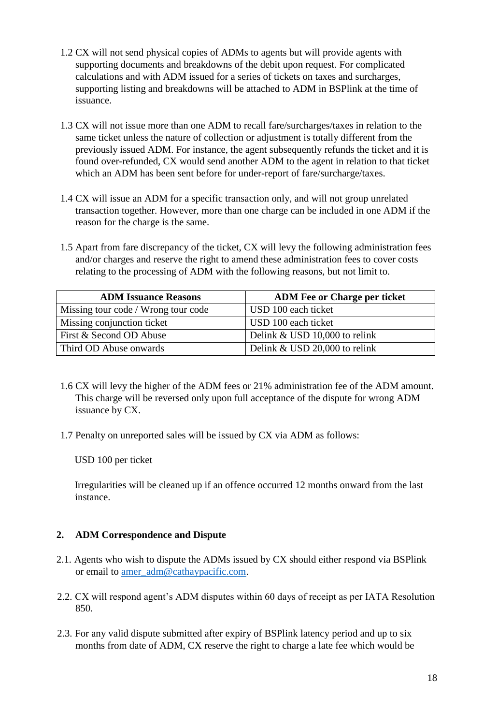- 1.2 CX will not send physical copies of ADMs to agents but will provide agents with supporting documents and breakdowns of the debit upon request. For complicated calculations and with ADM issued for a series of tickets on taxes and surcharges, supporting listing and breakdowns will be attached to ADM in BSPlink at the time of issuance.
- 1.3 CX will not issue more than one ADM to recall fare/surcharges/taxes in relation to the same ticket unless the nature of collection or adjustment is totally different from the previously issued ADM. For instance, the agent subsequently refunds the ticket and it is found over-refunded, CX would send another ADM to the agent in relation to that ticket which an ADM has been sent before for under-report of fare/surcharge/taxes.
- 1.4 CX will issue an ADM for a specific transaction only, and will not group unrelated transaction together. However, more than one charge can be included in one ADM if the reason for the charge is the same.
- 1.5 Apart from fare discrepancy of the ticket, CX will levy the following administration fees and/or charges and reserve the right to amend these administration fees to cover costs relating to the processing of ADM with the following reasons, but not limit to.

| <b>ADM Issuance Reasons</b>         | <b>ADM Fee or Charge per ticket</b> |
|-------------------------------------|-------------------------------------|
| Missing tour code / Wrong tour code | USD 100 each ticket                 |
| Missing conjunction ticket          | USD 100 each ticket                 |
| First & Second OD Abuse             | Delink & USD 10,000 to relink       |
| Third OD Abuse onwards              | Delink & USD 20,000 to relink       |

- 1.6 CX will levy the higher of the ADM fees or 21% administration fee of the ADM amount. This charge will be reversed only upon full acceptance of the dispute for wrong ADM issuance by CX.
- 1.7 Penalty on unreported sales will be issued by CX via ADM as follows:

Irregularities will be cleaned up if an offence occurred 12 months onward from the last instance.

- 2.1. Agents who wish to dispute the ADMs issued by CX should either respond via BSPlink or email to amer\_adm@cathaypacific.com.
- 2.2. CX will respond agent's ADM disputes within 60 days of receipt as per IATA Resolution 850.
- 2.3. For any valid dispute submitted after expiry of BSPlink latency period and up to six months from date of ADM, CX reserve the right to charge a late fee which would be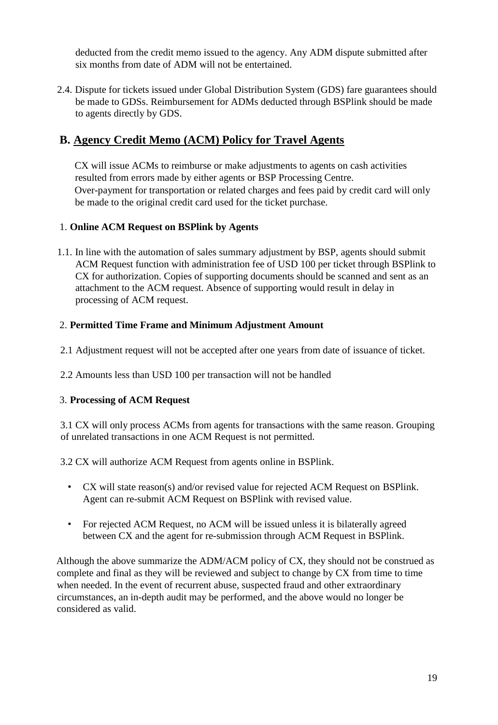2.4. Dispute for tickets issued under Global Distribution System (GDS) fare guarantees should be made to GDSs. Reimbursement for ADMs deducted through BSPlink should be made to agents directly by GDS.

# **B. Agency Credit Memo (ACM) Policy for Travel Agents**

CX will issue ACMs to reimburse or make adjustments to agents on cash activities resulted from errors made by either agents or BSP Processing Centre. Over-payment for transportation or related charges and fees paid by credit card will only be made to the original credit card used for the ticket purchase.

### 1. **Online ACM Request on BSPlink by Agents**

1.1. In line with the automation of sales summary adjustment by BSP, agents should submit ACM Request function with administration fee of USD 100 per ticket through BSPlink to CX for authorization. Copies of supporting documents should be scanned and sent as an attachment to the ACM request. Absence of supporting would result in delay in processing of ACM request.

### 2. **Permitted Time Frame and Minimum Adjustment Amount**

- 2.1 Adjustment request will not be accepted after one years from date of issuance of ticket.
- 2.2 Amounts less than USD 100 per transaction will not be handled

### 3. **Processing of ACM Request**

3.1 CX will only process ACMs from agents for transactions with the same reason. Grouping of unrelated transactions in one ACM Request is not permitted.

3.2 CX will authorize ACM Request from agents online in BSPlink.

- CX will state reason(s) and/or revised value for rejected ACM Request on BSPlink. Agent can re-submit ACM Request on BSPlink with revised value.
- For rejected ACM Request, no ACM will be issued unless it is bilaterally agreed between CX and the agent for re-submission through ACM Request in BSPlink.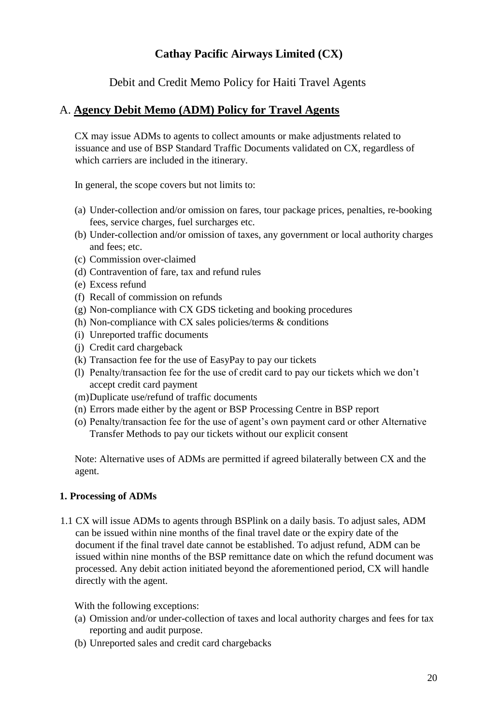Debit and Credit Memo Policy for Haiti Travel Agents

### <span id="page-19-0"></span>A. **Agency Debit Memo (ADM) Policy for Travel Agents**

CX may issue ADMs to agents to collect amounts or make adjustments related to issuance and use of BSP Standard Traffic Documents validated on CX, regardless of which carriers are included in the itinerary.

In general, the scope covers but not limits to:

- (a) Under-collection and/or omission on fares, tour package prices, penalties, re-booking fees, service charges, fuel surcharges etc.
- (b) Under-collection and/or omission of taxes, any government or local authority charges and fees; etc.
- (c) Commission over-claimed
- (d) Contravention of fare, tax and refund rules
- (e) Excess refund
- (f) Recall of commission on refunds
- (g) Non-compliance with CX GDS ticketing and booking procedures
- (h) Non-compliance with CX sales policies/terms & conditions
- (i) Unreported traffic documents
- (j) Credit card chargeback
- (k) Transaction fee for the use of EasyPay to pay our tickets
- (l) Penalty/transaction fee for the use of credit card to pay our tickets which we don't accept credit card payment
- (m)Duplicate use/refund of traffic documents
- (n) Errors made either by the agent or BSP Processing Centre in BSP report
- (o) Penalty/transaction fee for the use of agent's own payment card or other Alternative Transfer Methods to pay our tickets without our explicit consent

Note: Alternative uses of ADMs are permitted if agreed bilaterally between CX and the agent.

### **1. Processing of ADMs**

1.1 CX will issue ADMs to agents through BSPlink on a daily basis. To adjust sales, ADM can be issued within nine months of the final travel date or the expiry date of the document if the final travel date cannot be established. To adjust refund, ADM can be issued within nine months of the BSP remittance date on which the refund document was processed. Any debit action initiated beyond the aforementioned period, CX will handle directly with the agent.

- (a) Omission and/or under-collection of taxes and local authority charges and fees for tax reporting and audit purpose.
- (b) Unreported sales and credit card chargebacks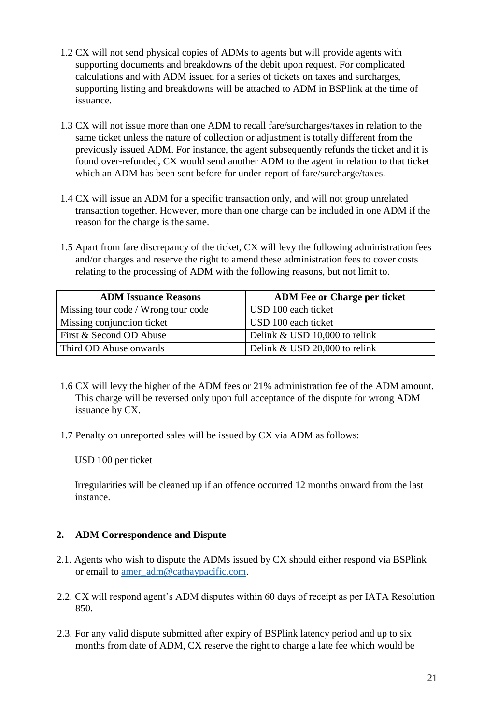- 1.2 CX will not send physical copies of ADMs to agents but will provide agents with supporting documents and breakdowns of the debit upon request. For complicated calculations and with ADM issued for a series of tickets on taxes and surcharges, supporting listing and breakdowns will be attached to ADM in BSPlink at the time of issuance.
- 1.3 CX will not issue more than one ADM to recall fare/surcharges/taxes in relation to the same ticket unless the nature of collection or adjustment is totally different from the previously issued ADM. For instance, the agent subsequently refunds the ticket and it is found over-refunded, CX would send another ADM to the agent in relation to that ticket which an ADM has been sent before for under-report of fare/surcharge/taxes.
- 1.4 CX will issue an ADM for a specific transaction only, and will not group unrelated transaction together. However, more than one charge can be included in one ADM if the reason for the charge is the same.
- 1.5 Apart from fare discrepancy of the ticket, CX will levy the following administration fees and/or charges and reserve the right to amend these administration fees to cover costs relating to the processing of ADM with the following reasons, but not limit to.

| <b>ADM Issuance Reasons</b>         | <b>ADM Fee or Charge per ticket</b> |
|-------------------------------------|-------------------------------------|
| Missing tour code / Wrong tour code | USD 100 each ticket                 |
| Missing conjunction ticket          | USD 100 each ticket                 |
| First & Second OD Abuse             | Delink & USD 10,000 to relink       |
| Third OD Abuse onwards              | Delink & USD 20,000 to relink       |

- 1.6 CX will levy the higher of the ADM fees or 21% administration fee of the ADM amount. This charge will be reversed only upon full acceptance of the dispute for wrong ADM issuance by CX.
- 1.7 Penalty on unreported sales will be issued by CX via ADM as follows:

Irregularities will be cleaned up if an offence occurred 12 months onward from the last instance.

- 2.1. Agents who wish to dispute the ADMs issued by CX should either respond via BSPlink or email to amer\_adm@cathaypacific.com.
- 2.2. CX will respond agent's ADM disputes within 60 days of receipt as per IATA Resolution 850.
- 2.3. For any valid dispute submitted after expiry of BSPlink latency period and up to six months from date of ADM, CX reserve the right to charge a late fee which would be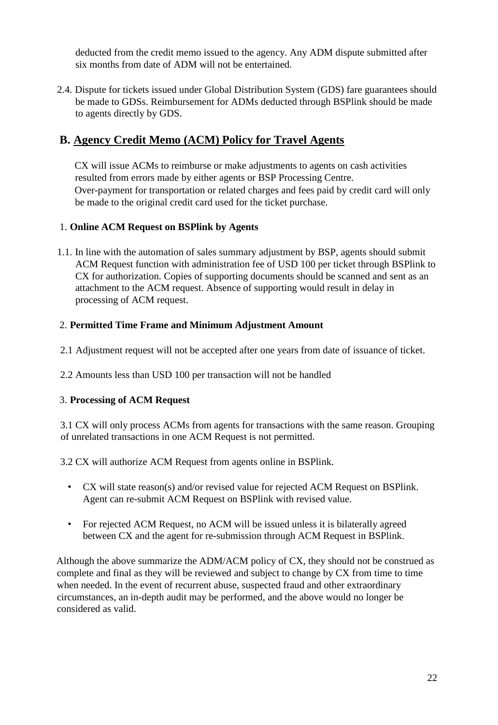2.4. Dispute for tickets issued under Global Distribution System (GDS) fare guarantees should be made to GDSs. Reimbursement for ADMs deducted through BSPlink should be made to agents directly by GDS.

# **B. Agency Credit Memo (ACM) Policy for Travel Agents**

CX will issue ACMs to reimburse or make adjustments to agents on cash activities resulted from errors made by either agents or BSP Processing Centre. Over-payment for transportation or related charges and fees paid by credit card will only be made to the original credit card used for the ticket purchase.

### 1. **Online ACM Request on BSPlink by Agents**

1.1. In line with the automation of sales summary adjustment by BSP, agents should submit ACM Request function with administration fee of USD 100 per ticket through BSPlink to CX for authorization. Copies of supporting documents should be scanned and sent as an attachment to the ACM request. Absence of supporting would result in delay in processing of ACM request.

### 2. **Permitted Time Frame and Minimum Adjustment Amount**

- 2.1 Adjustment request will not be accepted after one years from date of issuance of ticket.
- 2.2 Amounts less than USD 100 per transaction will not be handled

### 3. **Processing of ACM Request**

3.1 CX will only process ACMs from agents for transactions with the same reason. Grouping of unrelated transactions in one ACM Request is not permitted.

3.2 CX will authorize ACM Request from agents online in BSPlink.

- CX will state reason(s) and/or revised value for rejected ACM Request on BSPlink. Agent can re-submit ACM Request on BSPlink with revised value.
- For rejected ACM Request, no ACM will be issued unless it is bilaterally agreed between CX and the agent for re-submission through ACM Request in BSPlink.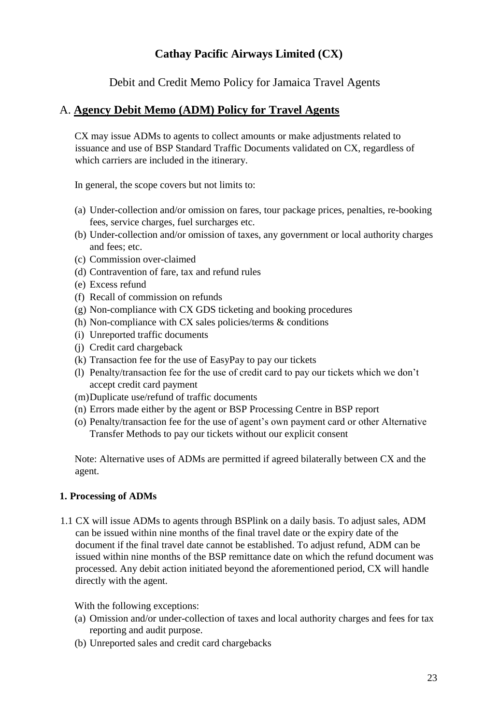Debit and Credit Memo Policy for Jamaica Travel Agents

### <span id="page-22-0"></span>A. **Agency Debit Memo (ADM) Policy for Travel Agents**

CX may issue ADMs to agents to collect amounts or make adjustments related to issuance and use of BSP Standard Traffic Documents validated on CX, regardless of which carriers are included in the itinerary.

In general, the scope covers but not limits to:

- (a) Under-collection and/or omission on fares, tour package prices, penalties, re-booking fees, service charges, fuel surcharges etc.
- (b) Under-collection and/or omission of taxes, any government or local authority charges and fees; etc.
- (c) Commission over-claimed
- (d) Contravention of fare, tax and refund rules
- (e) Excess refund
- (f) Recall of commission on refunds
- (g) Non-compliance with CX GDS ticketing and booking procedures
- (h) Non-compliance with CX sales policies/terms  $\&$  conditions
- (i) Unreported traffic documents
- (j) Credit card chargeback
- (k) Transaction fee for the use of EasyPay to pay our tickets
- (l) Penalty/transaction fee for the use of credit card to pay our tickets which we don't accept credit card payment
- (m)Duplicate use/refund of traffic documents
- (n) Errors made either by the agent or BSP Processing Centre in BSP report
- (o) Penalty/transaction fee for the use of agent's own payment card or other Alternative Transfer Methods to pay our tickets without our explicit consent

Note: Alternative uses of ADMs are permitted if agreed bilaterally between CX and the agent.

### **1. Processing of ADMs**

1.1 CX will issue ADMs to agents through BSPlink on a daily basis. To adjust sales, ADM can be issued within nine months of the final travel date or the expiry date of the document if the final travel date cannot be established. To adjust refund, ADM can be issued within nine months of the BSP remittance date on which the refund document was processed. Any debit action initiated beyond the aforementioned period, CX will handle directly with the agent.

- (a) Omission and/or under-collection of taxes and local authority charges and fees for tax reporting and audit purpose.
- (b) Unreported sales and credit card chargebacks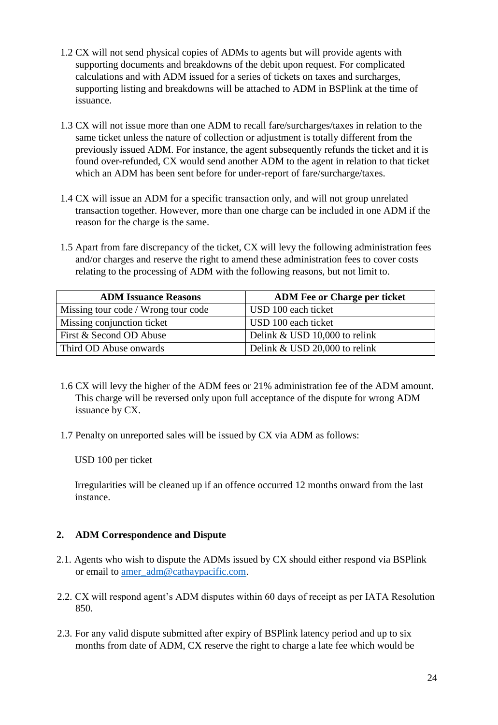- 1.2 CX will not send physical copies of ADMs to agents but will provide agents with supporting documents and breakdowns of the debit upon request. For complicated calculations and with ADM issued for a series of tickets on taxes and surcharges, supporting listing and breakdowns will be attached to ADM in BSPlink at the time of issuance.
- 1.3 CX will not issue more than one ADM to recall fare/surcharges/taxes in relation to the same ticket unless the nature of collection or adjustment is totally different from the previously issued ADM. For instance, the agent subsequently refunds the ticket and it is found over-refunded, CX would send another ADM to the agent in relation to that ticket which an ADM has been sent before for under-report of fare/surcharge/taxes.
- 1.4 CX will issue an ADM for a specific transaction only, and will not group unrelated transaction together. However, more than one charge can be included in one ADM if the reason for the charge is the same.
- 1.5 Apart from fare discrepancy of the ticket, CX will levy the following administration fees and/or charges and reserve the right to amend these administration fees to cover costs relating to the processing of ADM with the following reasons, but not limit to.

| <b>ADM Issuance Reasons</b>         | <b>ADM Fee or Charge per ticket</b> |
|-------------------------------------|-------------------------------------|
| Missing tour code / Wrong tour code | USD 100 each ticket                 |
| Missing conjunction ticket          | USD 100 each ticket                 |
| First & Second OD Abuse             | Delink & USD 10,000 to relink       |
| Third OD Abuse onwards              | Delink & USD 20,000 to relink       |

- 1.6 CX will levy the higher of the ADM fees or 21% administration fee of the ADM amount. This charge will be reversed only upon full acceptance of the dispute for wrong ADM issuance by CX.
- 1.7 Penalty on unreported sales will be issued by CX via ADM as follows:

Irregularities will be cleaned up if an offence occurred 12 months onward from the last instance.

- 2.1. Agents who wish to dispute the ADMs issued by CX should either respond via BSPlink or email to amer\_adm@cathaypacific.com.
- 2.2. CX will respond agent's ADM disputes within 60 days of receipt as per IATA Resolution 850.
- 2.3. For any valid dispute submitted after expiry of BSPlink latency period and up to six months from date of ADM, CX reserve the right to charge a late fee which would be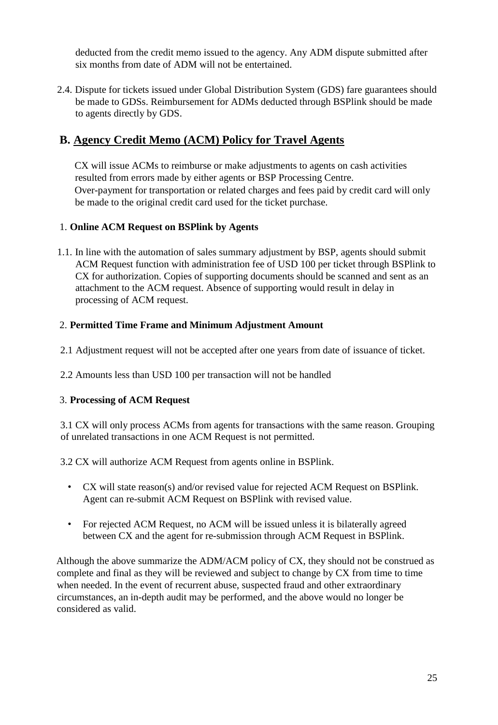2.4. Dispute for tickets issued under Global Distribution System (GDS) fare guarantees should be made to GDSs. Reimbursement for ADMs deducted through BSPlink should be made to agents directly by GDS.

# **B. Agency Credit Memo (ACM) Policy for Travel Agents**

CX will issue ACMs to reimburse or make adjustments to agents on cash activities resulted from errors made by either agents or BSP Processing Centre. Over-payment for transportation or related charges and fees paid by credit card will only be made to the original credit card used for the ticket purchase.

### 1. **Online ACM Request on BSPlink by Agents**

1.1. In line with the automation of sales summary adjustment by BSP, agents should submit ACM Request function with administration fee of USD 100 per ticket through BSPlink to CX for authorization. Copies of supporting documents should be scanned and sent as an attachment to the ACM request. Absence of supporting would result in delay in processing of ACM request.

### 2. **Permitted Time Frame and Minimum Adjustment Amount**

- 2.1 Adjustment request will not be accepted after one years from date of issuance of ticket.
- 2.2 Amounts less than USD 100 per transaction will not be handled

### 3. **Processing of ACM Request**

3.1 CX will only process ACMs from agents for transactions with the same reason. Grouping of unrelated transactions in one ACM Request is not permitted.

3.2 CX will authorize ACM Request from agents online in BSPlink.

- CX will state reason(s) and/or revised value for rejected ACM Request on BSPlink. Agent can re-submit ACM Request on BSPlink with revised value.
- For rejected ACM Request, no ACM will be issued unless it is bilaterally agreed between CX and the agent for re-submission through ACM Request in BSPlink.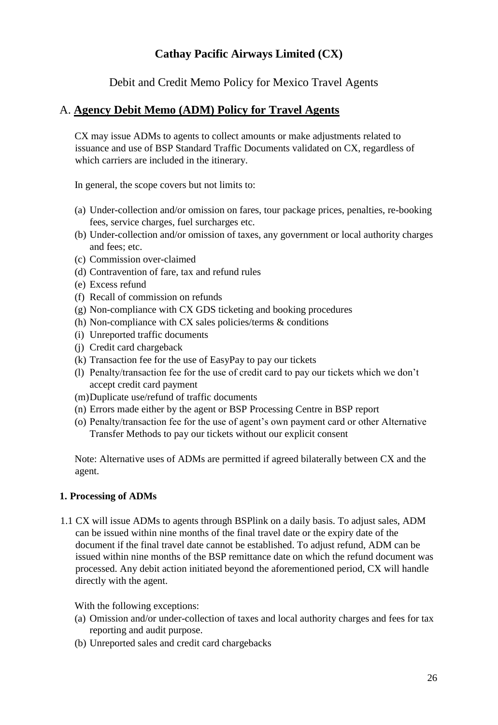Debit and Credit Memo Policy for Mexico Travel Agents

### <span id="page-25-0"></span>A. **Agency Debit Memo (ADM) Policy for Travel Agents**

CX may issue ADMs to agents to collect amounts or make adjustments related to issuance and use of BSP Standard Traffic Documents validated on CX, regardless of which carriers are included in the itinerary.

In general, the scope covers but not limits to:

- (a) Under-collection and/or omission on fares, tour package prices, penalties, re-booking fees, service charges, fuel surcharges etc.
- (b) Under-collection and/or omission of taxes, any government or local authority charges and fees; etc.
- (c) Commission over-claimed
- (d) Contravention of fare, tax and refund rules
- (e) Excess refund
- (f) Recall of commission on refunds
- (g) Non-compliance with CX GDS ticketing and booking procedures
- (h) Non-compliance with CX sales policies/terms & conditions
- (i) Unreported traffic documents
- (j) Credit card chargeback
- (k) Transaction fee for the use of EasyPay to pay our tickets
- (l) Penalty/transaction fee for the use of credit card to pay our tickets which we don't accept credit card payment
- (m)Duplicate use/refund of traffic documents
- (n) Errors made either by the agent or BSP Processing Centre in BSP report
- (o) Penalty/transaction fee for the use of agent's own payment card or other Alternative Transfer Methods to pay our tickets without our explicit consent

Note: Alternative uses of ADMs are permitted if agreed bilaterally between CX and the agent.

### **1. Processing of ADMs**

1.1 CX will issue ADMs to agents through BSPlink on a daily basis. To adjust sales, ADM can be issued within nine months of the final travel date or the expiry date of the document if the final travel date cannot be established. To adjust refund, ADM can be issued within nine months of the BSP remittance date on which the refund document was processed. Any debit action initiated beyond the aforementioned period, CX will handle directly with the agent.

- (a) Omission and/or under-collection of taxes and local authority charges and fees for tax reporting and audit purpose.
- (b) Unreported sales and credit card chargebacks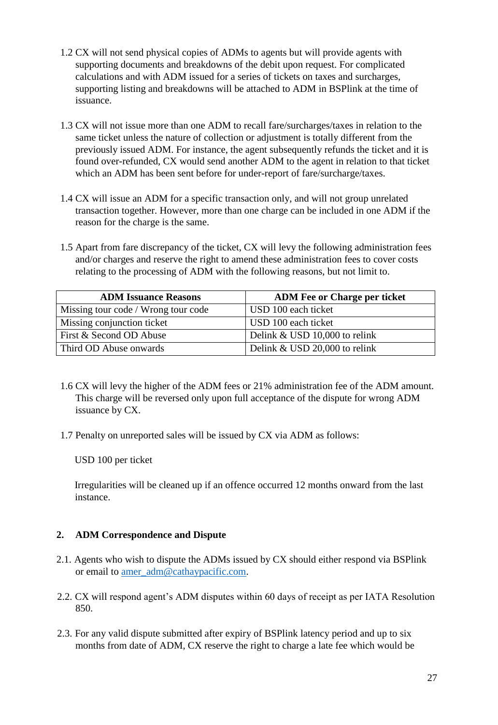- 1.2 CX will not send physical copies of ADMs to agents but will provide agents with supporting documents and breakdowns of the debit upon request. For complicated calculations and with ADM issued for a series of tickets on taxes and surcharges, supporting listing and breakdowns will be attached to ADM in BSPlink at the time of issuance.
- 1.3 CX will not issue more than one ADM to recall fare/surcharges/taxes in relation to the same ticket unless the nature of collection or adjustment is totally different from the previously issued ADM. For instance, the agent subsequently refunds the ticket and it is found over-refunded, CX would send another ADM to the agent in relation to that ticket which an ADM has been sent before for under-report of fare/surcharge/taxes.
- 1.4 CX will issue an ADM for a specific transaction only, and will not group unrelated transaction together. However, more than one charge can be included in one ADM if the reason for the charge is the same.
- 1.5 Apart from fare discrepancy of the ticket, CX will levy the following administration fees and/or charges and reserve the right to amend these administration fees to cover costs relating to the processing of ADM with the following reasons, but not limit to.

| <b>ADM Issuance Reasons</b>         | <b>ADM Fee or Charge per ticket</b> |
|-------------------------------------|-------------------------------------|
| Missing tour code / Wrong tour code | USD 100 each ticket                 |
| Missing conjunction ticket          | USD 100 each ticket                 |
| First & Second OD Abuse             | Delink & USD 10,000 to relink       |
| Third OD Abuse onwards              | Delink & USD 20,000 to relink       |

- 1.6 CX will levy the higher of the ADM fees or 21% administration fee of the ADM amount. This charge will be reversed only upon full acceptance of the dispute for wrong ADM issuance by CX.
- 1.7 Penalty on unreported sales will be issued by CX via ADM as follows:

Irregularities will be cleaned up if an offence occurred 12 months onward from the last instance.

- 2.1. Agents who wish to dispute the ADMs issued by CX should either respond via BSPlink or email to amer\_adm@cathaypacific.com.
- 2.2. CX will respond agent's ADM disputes within 60 days of receipt as per IATA Resolution 850.
- 2.3. For any valid dispute submitted after expiry of BSPlink latency period and up to six months from date of ADM, CX reserve the right to charge a late fee which would be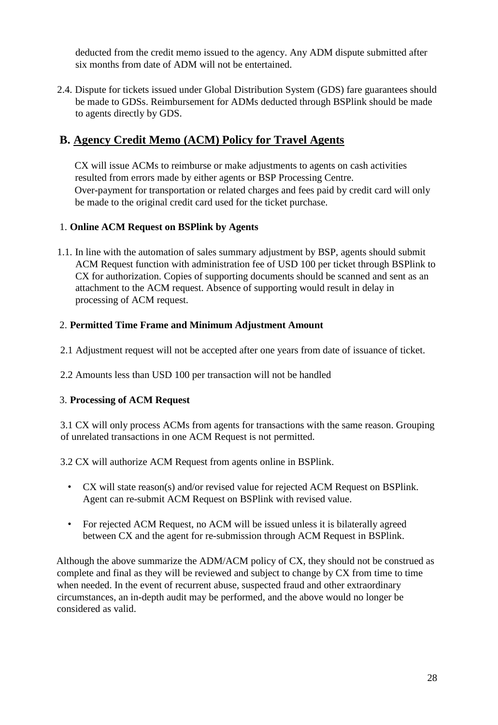2.4. Dispute for tickets issued under Global Distribution System (GDS) fare guarantees should be made to GDSs. Reimbursement for ADMs deducted through BSPlink should be made to agents directly by GDS.

# **B. Agency Credit Memo (ACM) Policy for Travel Agents**

CX will issue ACMs to reimburse or make adjustments to agents on cash activities resulted from errors made by either agents or BSP Processing Centre. Over-payment for transportation or related charges and fees paid by credit card will only be made to the original credit card used for the ticket purchase.

### 1. **Online ACM Request on BSPlink by Agents**

1.1. In line with the automation of sales summary adjustment by BSP, agents should submit ACM Request function with administration fee of USD 100 per ticket through BSPlink to CX for authorization. Copies of supporting documents should be scanned and sent as an attachment to the ACM request. Absence of supporting would result in delay in processing of ACM request.

### 2. **Permitted Time Frame and Minimum Adjustment Amount**

- 2.1 Adjustment request will not be accepted after one years from date of issuance of ticket.
- 2.2 Amounts less than USD 100 per transaction will not be handled

### 3. **Processing of ACM Request**

3.1 CX will only process ACMs from agents for transactions with the same reason. Grouping of unrelated transactions in one ACM Request is not permitted.

3.2 CX will authorize ACM Request from agents online in BSPlink.

- CX will state reason(s) and/or revised value for rejected ACM Request on BSPlink. Agent can re-submit ACM Request on BSPlink with revised value.
- For rejected ACM Request, no ACM will be issued unless it is bilaterally agreed between CX and the agent for re-submission through ACM Request in BSPlink.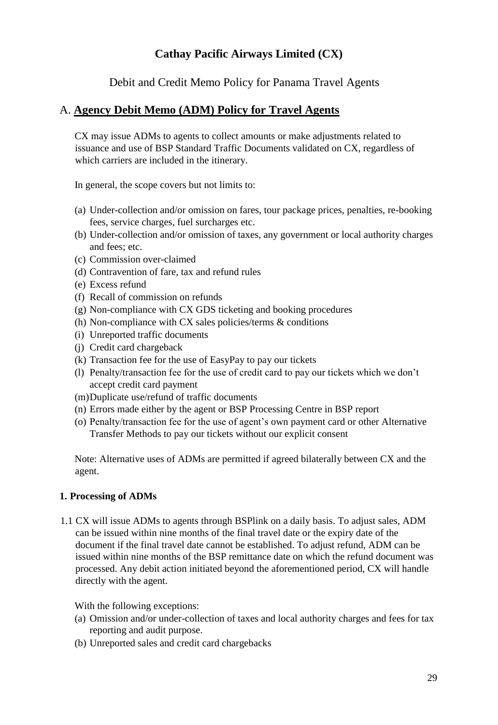Debit and Credit Memo Policy for Panama Travel Agents

### <span id="page-28-0"></span>A. **Agency Debit Memo (ADM) Policy for Travel Agents**

CX may issue ADMs to agents to collect amounts or make adjustments related to issuance and use of BSP Standard Traffic Documents validated on CX, regardless of which carriers are included in the itinerary.

In general, the scope covers but not limits to:

- (a) Under-collection and/or omission on fares, tour package prices, penalties, re-booking fees, service charges, fuel surcharges etc.
- (b) Under-collection and/or omission of taxes, any government or local authority charges and fees; etc.
- (c) Commission over-claimed
- (d) Contravention of fare, tax and refund rules
- (e) Excess refund
- (f) Recall of commission on refunds
- (g) Non-compliance with CX GDS ticketing and booking procedures
- (h) Non-compliance with CX sales policies/terms & conditions
- (i) Unreported traffic documents
- (j) Credit card chargeback
- (k) Transaction fee for the use of EasyPay to pay our tickets
- (l) Penalty/transaction fee for the use of credit card to pay our tickets which we don't accept credit card payment
- (m)Duplicate use/refund of traffic documents
- (n) Errors made either by the agent or BSP Processing Centre in BSP report
- (o) Penalty/transaction fee for the use of agent's own payment card or other Alternative Transfer Methods to pay our tickets without our explicit consent

Note: Alternative uses of ADMs are permitted if agreed bilaterally between CX and the agent.

### **1. Processing of ADMs**

1.1 CX will issue ADMs to agents through BSPlink on a daily basis. To adjust sales, ADM can be issued within nine months of the final travel date or the expiry date of the document if the final travel date cannot be established. To adjust refund, ADM can be issued within nine months of the BSP remittance date on which the refund document was processed. Any debit action initiated beyond the aforementioned period, CX will handle directly with the agent.

- (a) Omission and/or under-collection of taxes and local authority charges and fees for tax reporting and audit purpose.
- (b) Unreported sales and credit card chargebacks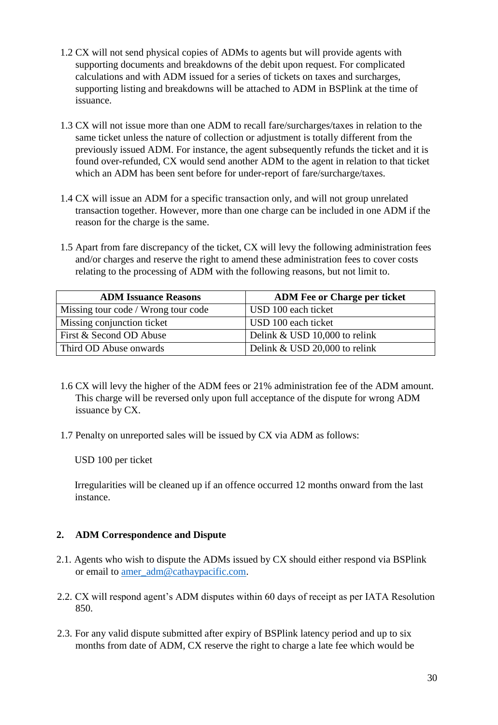- 1.2 CX will not send physical copies of ADMs to agents but will provide agents with supporting documents and breakdowns of the debit upon request. For complicated calculations and with ADM issued for a series of tickets on taxes and surcharges, supporting listing and breakdowns will be attached to ADM in BSPlink at the time of issuance.
- 1.3 CX will not issue more than one ADM to recall fare/surcharges/taxes in relation to the same ticket unless the nature of collection or adjustment is totally different from the previously issued ADM. For instance, the agent subsequently refunds the ticket and it is found over-refunded, CX would send another ADM to the agent in relation to that ticket which an ADM has been sent before for under-report of fare/surcharge/taxes.
- 1.4 CX will issue an ADM for a specific transaction only, and will not group unrelated transaction together. However, more than one charge can be included in one ADM if the reason for the charge is the same.
- 1.5 Apart from fare discrepancy of the ticket, CX will levy the following administration fees and/or charges and reserve the right to amend these administration fees to cover costs relating to the processing of ADM with the following reasons, but not limit to.

| <b>ADM Issuance Reasons</b>         | <b>ADM Fee or Charge per ticket</b> |
|-------------------------------------|-------------------------------------|
| Missing tour code / Wrong tour code | USD 100 each ticket                 |
| Missing conjunction ticket          | USD 100 each ticket                 |
| First & Second OD Abuse             | Delink & USD 10,000 to relink       |
| Third OD Abuse onwards              | Delink & USD 20,000 to relink       |

- 1.6 CX will levy the higher of the ADM fees or 21% administration fee of the ADM amount. This charge will be reversed only upon full acceptance of the dispute for wrong ADM issuance by CX.
- 1.7 Penalty on unreported sales will be issued by CX via ADM as follows:

Irregularities will be cleaned up if an offence occurred 12 months onward from the last instance.

- 2.1. Agents who wish to dispute the ADMs issued by CX should either respond via BSPlink or email to amer\_adm@cathaypacific.com.
- 2.2. CX will respond agent's ADM disputes within 60 days of receipt as per IATA Resolution 850.
- 2.3. For any valid dispute submitted after expiry of BSPlink latency period and up to six months from date of ADM, CX reserve the right to charge a late fee which would be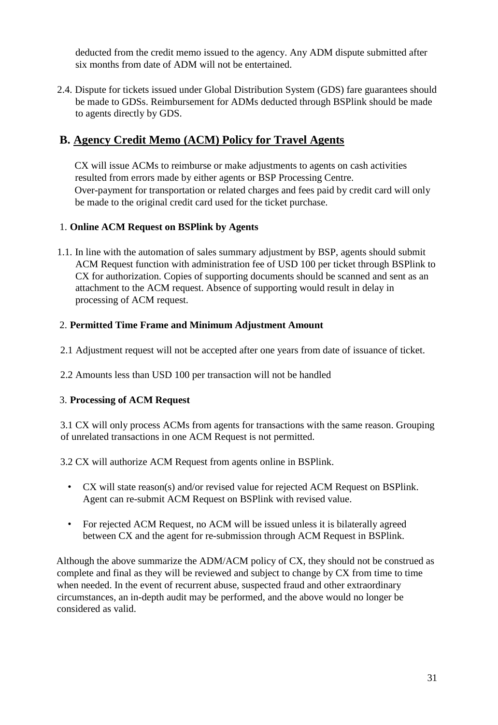2.4. Dispute for tickets issued under Global Distribution System (GDS) fare guarantees should be made to GDSs. Reimbursement for ADMs deducted through BSPlink should be made to agents directly by GDS.

# **B. Agency Credit Memo (ACM) Policy for Travel Agents**

CX will issue ACMs to reimburse or make adjustments to agents on cash activities resulted from errors made by either agents or BSP Processing Centre. Over-payment for transportation or related charges and fees paid by credit card will only be made to the original credit card used for the ticket purchase.

### 1. **Online ACM Request on BSPlink by Agents**

1.1. In line with the automation of sales summary adjustment by BSP, agents should submit ACM Request function with administration fee of USD 100 per ticket through BSPlink to CX for authorization. Copies of supporting documents should be scanned and sent as an attachment to the ACM request. Absence of supporting would result in delay in processing of ACM request.

### 2. **Permitted Time Frame and Minimum Adjustment Amount**

- 2.1 Adjustment request will not be accepted after one years from date of issuance of ticket.
- 2.2 Amounts less than USD 100 per transaction will not be handled

### 3. **Processing of ACM Request**

3.1 CX will only process ACMs from agents for transactions with the same reason. Grouping of unrelated transactions in one ACM Request is not permitted.

3.2 CX will authorize ACM Request from agents online in BSPlink.

- CX will state reason(s) and/or revised value for rejected ACM Request on BSPlink. Agent can re-submit ACM Request on BSPlink with revised value.
- For rejected ACM Request, no ACM will be issued unless it is bilaterally agreed between CX and the agent for re-submission through ACM Request in BSPlink.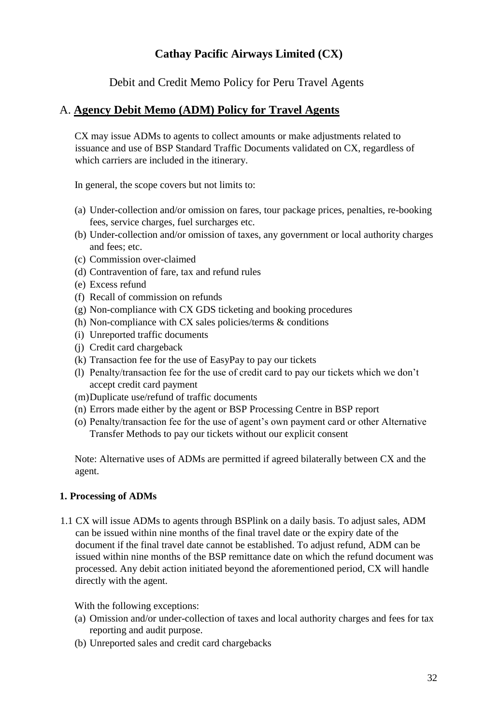Debit and Credit Memo Policy for Peru Travel Agents

### <span id="page-31-0"></span>A. **Agency Debit Memo (ADM) Policy for Travel Agents**

CX may issue ADMs to agents to collect amounts or make adjustments related to issuance and use of BSP Standard Traffic Documents validated on CX, regardless of which carriers are included in the itinerary.

In general, the scope covers but not limits to:

- (a) Under-collection and/or omission on fares, tour package prices, penalties, re-booking fees, service charges, fuel surcharges etc.
- (b) Under-collection and/or omission of taxes, any government or local authority charges and fees; etc.
- (c) Commission over-claimed
- (d) Contravention of fare, tax and refund rules
- (e) Excess refund
- (f) Recall of commission on refunds
- (g) Non-compliance with CX GDS ticketing and booking procedures
- (h) Non-compliance with CX sales policies/terms  $\&$  conditions
- (i) Unreported traffic documents
- (j) Credit card chargeback
- (k) Transaction fee for the use of EasyPay to pay our tickets
- (l) Penalty/transaction fee for the use of credit card to pay our tickets which we don't accept credit card payment
- (m)Duplicate use/refund of traffic documents
- (n) Errors made either by the agent or BSP Processing Centre in BSP report
- (o) Penalty/transaction fee for the use of agent's own payment card or other Alternative Transfer Methods to pay our tickets without our explicit consent

Note: Alternative uses of ADMs are permitted if agreed bilaterally between CX and the agent.

### **1. Processing of ADMs**

1.1 CX will issue ADMs to agents through BSPlink on a daily basis. To adjust sales, ADM can be issued within nine months of the final travel date or the expiry date of the document if the final travel date cannot be established. To adjust refund, ADM can be issued within nine months of the BSP remittance date on which the refund document was processed. Any debit action initiated beyond the aforementioned period, CX will handle directly with the agent.

- (a) Omission and/or under-collection of taxes and local authority charges and fees for tax reporting and audit purpose.
- (b) Unreported sales and credit card chargebacks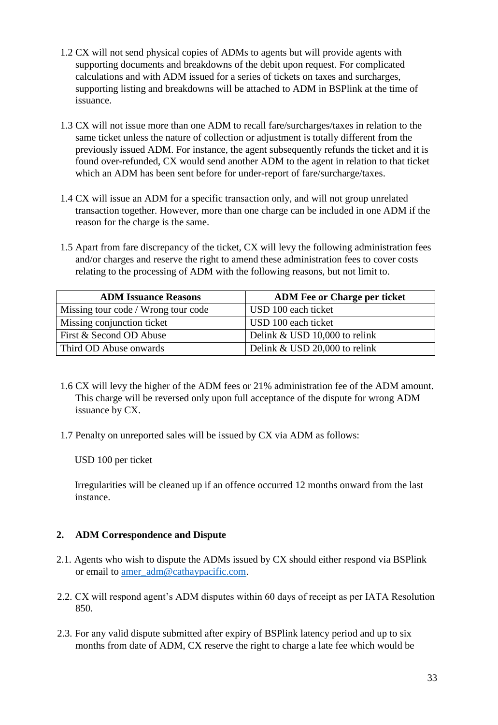- 1.2 CX will not send physical copies of ADMs to agents but will provide agents with supporting documents and breakdowns of the debit upon request. For complicated calculations and with ADM issued for a series of tickets on taxes and surcharges, supporting listing and breakdowns will be attached to ADM in BSPlink at the time of issuance.
- 1.3 CX will not issue more than one ADM to recall fare/surcharges/taxes in relation to the same ticket unless the nature of collection or adjustment is totally different from the previously issued ADM. For instance, the agent subsequently refunds the ticket and it is found over-refunded, CX would send another ADM to the agent in relation to that ticket which an ADM has been sent before for under-report of fare/surcharge/taxes.
- 1.4 CX will issue an ADM for a specific transaction only, and will not group unrelated transaction together. However, more than one charge can be included in one ADM if the reason for the charge is the same.
- 1.5 Apart from fare discrepancy of the ticket, CX will levy the following administration fees and/or charges and reserve the right to amend these administration fees to cover costs relating to the processing of ADM with the following reasons, but not limit to.

| <b>ADM Issuance Reasons</b>         | <b>ADM Fee or Charge per ticket</b> |
|-------------------------------------|-------------------------------------|
| Missing tour code / Wrong tour code | USD 100 each ticket                 |
| Missing conjunction ticket          | USD 100 each ticket                 |
| First & Second OD Abuse             | Delink & USD 10,000 to relink       |
| Third OD Abuse onwards              | Delink & USD 20,000 to relink       |

- 1.6 CX will levy the higher of the ADM fees or 21% administration fee of the ADM amount. This charge will be reversed only upon full acceptance of the dispute for wrong ADM issuance by CX.
- 1.7 Penalty on unreported sales will be issued by CX via ADM as follows:

Irregularities will be cleaned up if an offence occurred 12 months onward from the last instance.

- 2.1. Agents who wish to dispute the ADMs issued by CX should either respond via BSPlink or email to amer\_adm@cathaypacific.com.
- 2.2. CX will respond agent's ADM disputes within 60 days of receipt as per IATA Resolution 850.
- 2.3. For any valid dispute submitted after expiry of BSPlink latency period and up to six months from date of ADM, CX reserve the right to charge a late fee which would be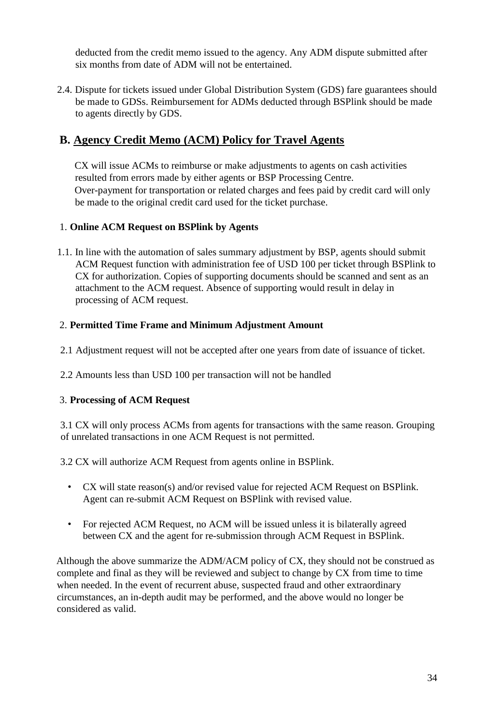2.4. Dispute for tickets issued under Global Distribution System (GDS) fare guarantees should be made to GDSs. Reimbursement for ADMs deducted through BSPlink should be made to agents directly by GDS.

# **B. Agency Credit Memo (ACM) Policy for Travel Agents**

CX will issue ACMs to reimburse or make adjustments to agents on cash activities resulted from errors made by either agents or BSP Processing Centre. Over-payment for transportation or related charges and fees paid by credit card will only be made to the original credit card used for the ticket purchase.

### 1. **Online ACM Request on BSPlink by Agents**

1.1. In line with the automation of sales summary adjustment by BSP, agents should submit ACM Request function with administration fee of USD 100 per ticket through BSPlink to CX for authorization. Copies of supporting documents should be scanned and sent as an attachment to the ACM request. Absence of supporting would result in delay in processing of ACM request.

### 2. **Permitted Time Frame and Minimum Adjustment Amount**

- 2.1 Adjustment request will not be accepted after one years from date of issuance of ticket.
- 2.2 Amounts less than USD 100 per transaction will not be handled

### 3. **Processing of ACM Request**

3.1 CX will only process ACMs from agents for transactions with the same reason. Grouping of unrelated transactions in one ACM Request is not permitted.

3.2 CX will authorize ACM Request from agents online in BSPlink.

- CX will state reason(s) and/or revised value for rejected ACM Request on BSPlink. Agent can re-submit ACM Request on BSPlink with revised value.
- For rejected ACM Request, no ACM will be issued unless it is bilaterally agreed between CX and the agent for re-submission through ACM Request in BSPlink.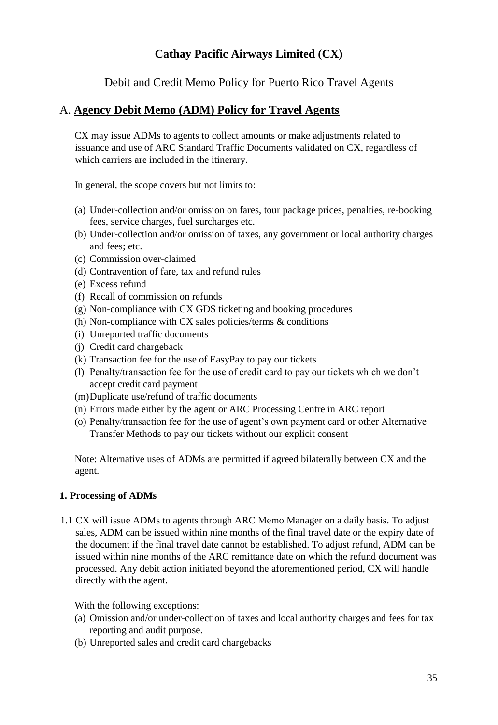Debit and Credit Memo Policy for Puerto Rico Travel Agents

### <span id="page-34-0"></span>A. **Agency Debit Memo (ADM) Policy for Travel Agents**

CX may issue ADMs to agents to collect amounts or make adjustments related to issuance and use of ARC Standard Traffic Documents validated on CX, regardless of which carriers are included in the itinerary.

In general, the scope covers but not limits to:

- (a) Under-collection and/or omission on fares, tour package prices, penalties, re-booking fees, service charges, fuel surcharges etc.
- (b) Under-collection and/or omission of taxes, any government or local authority charges and fees; etc.
- (c) Commission over-claimed
- (d) Contravention of fare, tax and refund rules
- (e) Excess refund
- (f) Recall of commission on refunds
- (g) Non-compliance with CX GDS ticketing and booking procedures
- (h) Non-compliance with CX sales policies/terms & conditions
- (i) Unreported traffic documents
- (j) Credit card chargeback
- (k) Transaction fee for the use of EasyPay to pay our tickets
- (l) Penalty/transaction fee for the use of credit card to pay our tickets which we don't accept credit card payment
- (m)Duplicate use/refund of traffic documents
- (n) Errors made either by the agent or ARC Processing Centre in ARC report
- (o) Penalty/transaction fee for the use of agent's own payment card or other Alternative Transfer Methods to pay our tickets without our explicit consent

Note: Alternative uses of ADMs are permitted if agreed bilaterally between CX and the agent.

### **1. Processing of ADMs**

1.1 CX will issue ADMs to agents through ARC Memo Manager on a daily basis. To adjust sales, ADM can be issued within nine months of the final travel date or the expiry date of the document if the final travel date cannot be established. To adjust refund, ADM can be issued within nine months of the ARC remittance date on which the refund document was processed. Any debit action initiated beyond the aforementioned period, CX will handle directly with the agent.

- (a) Omission and/or under-collection of taxes and local authority charges and fees for tax reporting and audit purpose.
- (b) Unreported sales and credit card chargebacks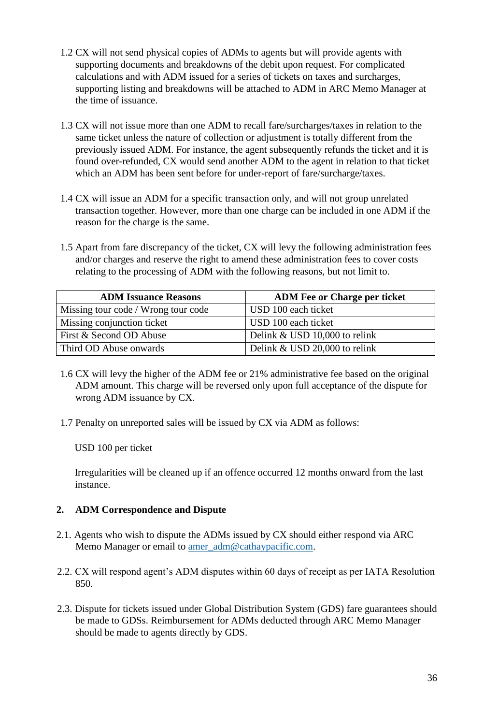- 1.2 CX will not send physical copies of ADMs to agents but will provide agents with supporting documents and breakdowns of the debit upon request. For complicated calculations and with ADM issued for a series of tickets on taxes and surcharges, supporting listing and breakdowns will be attached to ADM in ARC Memo Manager at the time of issuance.
- 1.3 CX will not issue more than one ADM to recall fare/surcharges/taxes in relation to the same ticket unless the nature of collection or adjustment is totally different from the previously issued ADM. For instance, the agent subsequently refunds the ticket and it is found over-refunded, CX would send another ADM to the agent in relation to that ticket which an ADM has been sent before for under-report of fare/surcharge/taxes.
- 1.4 CX will issue an ADM for a specific transaction only, and will not group unrelated transaction together. However, more than one charge can be included in one ADM if the reason for the charge is the same.
- 1.5 Apart from fare discrepancy of the ticket, CX will levy the following administration fees and/or charges and reserve the right to amend these administration fees to cover costs relating to the processing of ADM with the following reasons, but not limit to.

| <b>ADM Issuance Reasons</b>         | <b>ADM Fee or Charge per ticket</b> |
|-------------------------------------|-------------------------------------|
| Missing tour code / Wrong tour code | USD 100 each ticket                 |
| Missing conjunction ticket          | USD 100 each ticket                 |
| First & Second OD Abuse             | Delink & USD 10,000 to relink       |
| Third OD Abuse onwards              | Delink & USD 20,000 to relink       |

- 1.6 CX will levy the higher of the ADM fee or 21% administrative fee based on the original ADM amount. This charge will be reversed only upon full acceptance of the dispute for wrong ADM issuance by CX.
- 1.7 Penalty on unreported sales will be issued by CX via ADM as follows:

Irregularities will be cleaned up if an offence occurred 12 months onward from the last instance.

- 2.1. Agents who wish to dispute the ADMs issued by CX should either respond via ARC Memo Manager or email to amer adm@cathaypacific.com.
- 2.2. CX will respond agent's ADM disputes within 60 days of receipt as per IATA Resolution 850.
- 2.3. Dispute for tickets issued under Global Distribution System (GDS) fare guarantees should be made to GDSs. Reimbursement for ADMs deducted through ARC Memo Manager should be made to agents directly by GDS.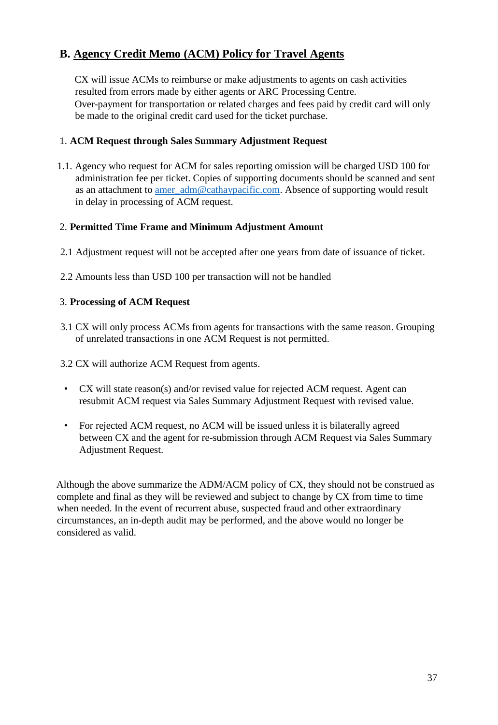# **B. Agency Credit Memo (ACM) Policy for Travel Agents**

CX will issue ACMs to reimburse or make adjustments to agents on cash activities resulted from errors made by either agents or ARC Processing Centre. Over-payment for transportation or related charges and fees paid by credit card will only be made to the original credit card used for the ticket purchase.

### 1. **ACM Request through Sales Summary Adjustment Request**

1.1. Agency who request for ACM for sales reporting omission will be charged USD 100 for administration fee per ticket. Copies of supporting documents should be scanned and sent as an attachment to amer\_adm@cathaypacific.com. Absence of supporting would result in delay in processing of ACM request.

### 2. **Permitted Time Frame and Minimum Adjustment Amount**

- 2.1 Adjustment request will not be accepted after one years from date of issuance of ticket.
- 2.2 Amounts less than USD 100 per transaction will not be handled

### 3. **Processing of ACM Request**

- 3.1 CX will only process ACMs from agents for transactions with the same reason. Grouping of unrelated transactions in one ACM Request is not permitted.
- 3.2 CX will authorize ACM Request from agents.
- CX will state reason(s) and/or revised value for rejected ACM request. Agent can resubmit ACM request via Sales Summary Adjustment Request with revised value.
- For rejected ACM request, no ACM will be issued unless it is bilaterally agreed between CX and the agent for re-submission through ACM Request via Sales Summary Adjustment Request.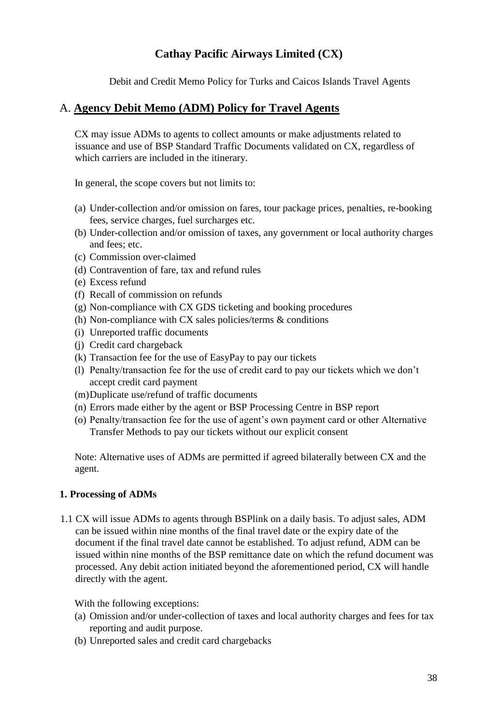Debit and Credit Memo Policy for Turks and Caicos Islands Travel Agents

### <span id="page-37-0"></span>A. **Agency Debit Memo (ADM) Policy for Travel Agents**

CX may issue ADMs to agents to collect amounts or make adjustments related to issuance and use of BSP Standard Traffic Documents validated on CX, regardless of which carriers are included in the itinerary.

In general, the scope covers but not limits to:

- (a) Under-collection and/or omission on fares, tour package prices, penalties, re-booking fees, service charges, fuel surcharges etc.
- (b) Under-collection and/or omission of taxes, any government or local authority charges and fees; etc.
- (c) Commission over-claimed
- (d) Contravention of fare, tax and refund rules
- (e) Excess refund
- (f) Recall of commission on refunds
- (g) Non-compliance with CX GDS ticketing and booking procedures
- (h) Non-compliance with CX sales policies/terms  $\&$  conditions
- (i) Unreported traffic documents
- (j) Credit card chargeback
- (k) Transaction fee for the use of EasyPay to pay our tickets
- (l) Penalty/transaction fee for the use of credit card to pay our tickets which we don't accept credit card payment
- (m)Duplicate use/refund of traffic documents
- (n) Errors made either by the agent or BSP Processing Centre in BSP report
- (o) Penalty/transaction fee for the use of agent's own payment card or other Alternative Transfer Methods to pay our tickets without our explicit consent

Note: Alternative uses of ADMs are permitted if agreed bilaterally between CX and the agent.

### **1. Processing of ADMs**

1.1 CX will issue ADMs to agents through BSPlink on a daily basis. To adjust sales, ADM can be issued within nine months of the final travel date or the expiry date of the document if the final travel date cannot be established. To adjust refund, ADM can be issued within nine months of the BSP remittance date on which the refund document was processed. Any debit action initiated beyond the aforementioned period, CX will handle directly with the agent.

- (a) Omission and/or under-collection of taxes and local authority charges and fees for tax reporting and audit purpose.
- (b) Unreported sales and credit card chargebacks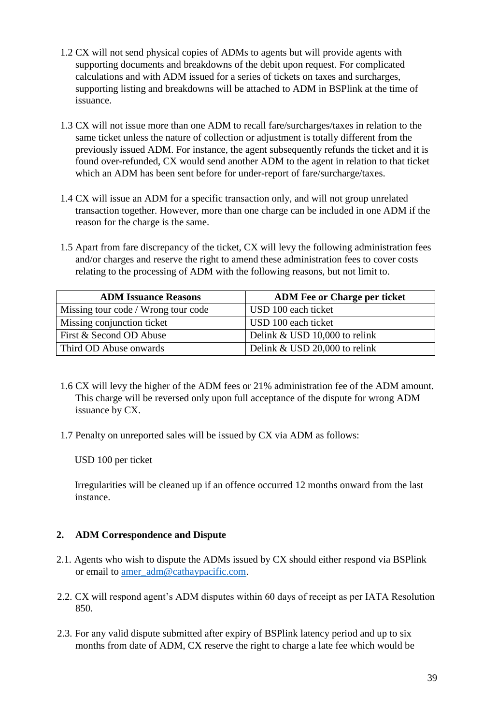- 1.2 CX will not send physical copies of ADMs to agents but will provide agents with supporting documents and breakdowns of the debit upon request. For complicated calculations and with ADM issued for a series of tickets on taxes and surcharges, supporting listing and breakdowns will be attached to ADM in BSPlink at the time of issuance.
- 1.3 CX will not issue more than one ADM to recall fare/surcharges/taxes in relation to the same ticket unless the nature of collection or adjustment is totally different from the previously issued ADM. For instance, the agent subsequently refunds the ticket and it is found over-refunded, CX would send another ADM to the agent in relation to that ticket which an ADM has been sent before for under-report of fare/surcharge/taxes.
- 1.4 CX will issue an ADM for a specific transaction only, and will not group unrelated transaction together. However, more than one charge can be included in one ADM if the reason for the charge is the same.
- 1.5 Apart from fare discrepancy of the ticket, CX will levy the following administration fees and/or charges and reserve the right to amend these administration fees to cover costs relating to the processing of ADM with the following reasons, but not limit to.

| <b>ADM Issuance Reasons</b>         | <b>ADM Fee or Charge per ticket</b> |
|-------------------------------------|-------------------------------------|
| Missing tour code / Wrong tour code | USD 100 each ticket                 |
| Missing conjunction ticket          | USD 100 each ticket                 |
| First & Second OD Abuse             | Delink & USD 10,000 to relink       |
| Third OD Abuse onwards              | Delink & USD 20,000 to relink       |

- 1.6 CX will levy the higher of the ADM fees or 21% administration fee of the ADM amount. This charge will be reversed only upon full acceptance of the dispute for wrong ADM issuance by CX.
- 1.7 Penalty on unreported sales will be issued by CX via ADM as follows:

Irregularities will be cleaned up if an offence occurred 12 months onward from the last instance.

- 2.1. Agents who wish to dispute the ADMs issued by CX should either respond via BSPlink or email to amer\_adm@cathaypacific.com.
- 2.2. CX will respond agent's ADM disputes within 60 days of receipt as per IATA Resolution 850.
- 2.3. For any valid dispute submitted after expiry of BSPlink latency period and up to six months from date of ADM, CX reserve the right to charge a late fee which would be